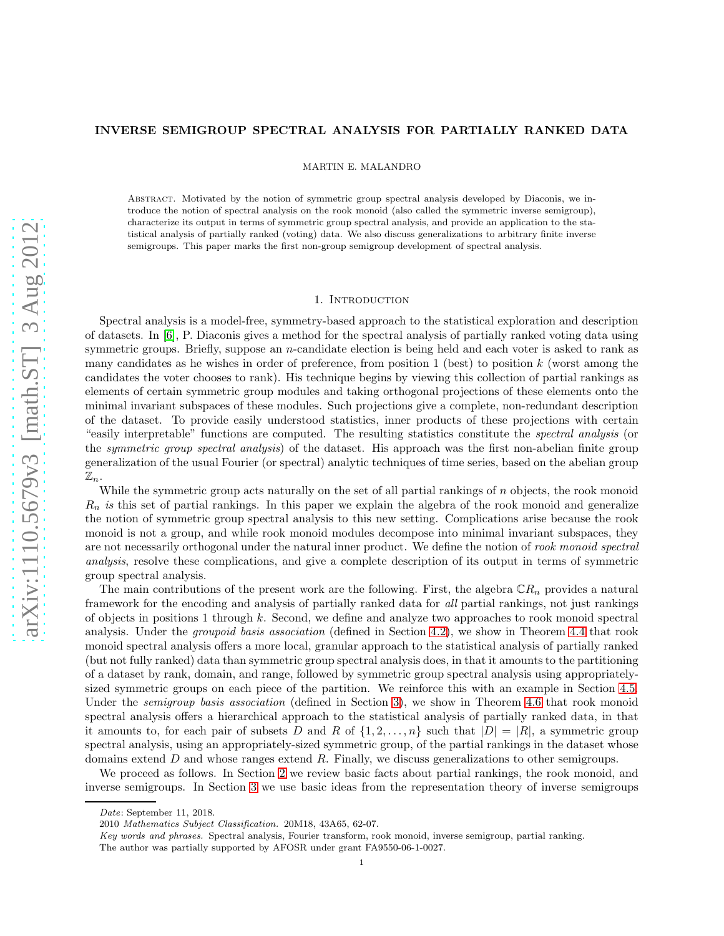## INVERSE SEMIGROUP SPECTRAL ANALYSIS FOR PARTIALLY RANKED DATA

MARTIN E. MALANDRO

Abstract. Motivated by the notion of symmetric group spectral analysis developed by Diaconis, we introduce the notion of spectral analysis on the rook monoid (also called the symmetric inverse semigroup), characterize its output in terms of symmetric group spectral analysis, and provide an application to the statistical analysis of partially ranked (voting) data. We also discuss generalizations to arbitrary finite inverse semigroups. This paper marks the first non-group semigroup development of spectral analysis.

### 1. INTRODUCTION

Spectral analysis is a model-free, symmetry-based approach to the statistical exploration and description of datasets. In [\[6\]](#page-23-0), P. Diaconis gives a method for the spectral analysis of partially ranked voting data using symmetric groups. Briefly, suppose an *n*-candidate election is being held and each voter is asked to rank as many candidates as he wishes in order of preference, from position 1 (best) to position  $k$  (worst among the candidates the voter chooses to rank). His technique begins by viewing this collection of partial rankings as elements of certain symmetric group modules and taking orthogonal projections of these elements onto the minimal invariant subspaces of these modules. Such projections give a complete, non-redundant description of the dataset. To provide easily understood statistics, inner products of these projections with certain "easily interpretable" functions are computed. The resulting statistics constitute the spectral analysis (or the symmetric group spectral analysis) of the dataset. His approach was the first non-abelian finite group generalization of the usual Fourier (or spectral) analytic techniques of time series, based on the abelian group  $\mathbb{Z}_n$ .

While the symmetric group acts naturally on the set of all partial rankings of n objects, the rook monoid  $R_n$  is this set of partial rankings. In this paper we explain the algebra of the rook monoid and generalize the notion of symmetric group spectral analysis to this new setting. Complications arise because the rook monoid is not a group, and while rook monoid modules decompose into minimal invariant subspaces, they are not necessarily orthogonal under the natural inner product. We define the notion of rook monoid spectral analysis, resolve these complications, and give a complete description of its output in terms of symmetric group spectral analysis.

The main contributions of the present work are the following. First, the algebra  $\mathbb{C}R_n$  provides a natural framework for the encoding and analysis of partially ranked data for all partial rankings, not just rankings of objects in positions 1 through k. Second, we define and analyze two approaches to rook monoid spectral analysis. Under the groupoid basis association (defined in Section [4.2\)](#page-7-0), we show in Theorem [4.4](#page-9-0) that rook monoid spectral analysis offers a more local, granular approach to the statistical analysis of partially ranked (but not fully ranked) data than symmetric group spectral analysis does, in that it amounts to the partitioning of a dataset by rank, domain, and range, followed by symmetric group spectral analysis using appropriatelysized symmetric groups on each piece of the partition. We reinforce this with an example in Section [4.5.](#page-10-0) Under the *semigroup basis association* (defined in Section [3\)](#page-2-0), we show in Theorem [4.6](#page-15-0) that rook monoid spectral analysis offers a hierarchical approach to the statistical analysis of partially ranked data, in that it amounts to, for each pair of subsets D and R of  $\{1, 2, \ldots, n\}$  such that  $|D| = |R|$ , a symmetric group spectral analysis, using an appropriately-sized symmetric group, of the partial rankings in the dataset whose domains extend  $D$  and whose ranges extend  $R$ . Finally, we discuss generalizations to other semigroups.

We proceed as follows. In Section [2](#page-1-0) we review basic facts about partial rankings, the rook monoid, and inverse semigroups. In Section [3](#page-2-0) we use basic ideas from the representation theory of inverse semigroups

Date: September 11, 2018.

<sup>2010</sup> Mathematics Subject Classification. 20M18, 43A65, 62-07.

Key words and phrases. Spectral analysis, Fourier transform, rook monoid, inverse semigroup, partial ranking.

The author was partially supported by AFOSR under grant FA9550-06-1-0027.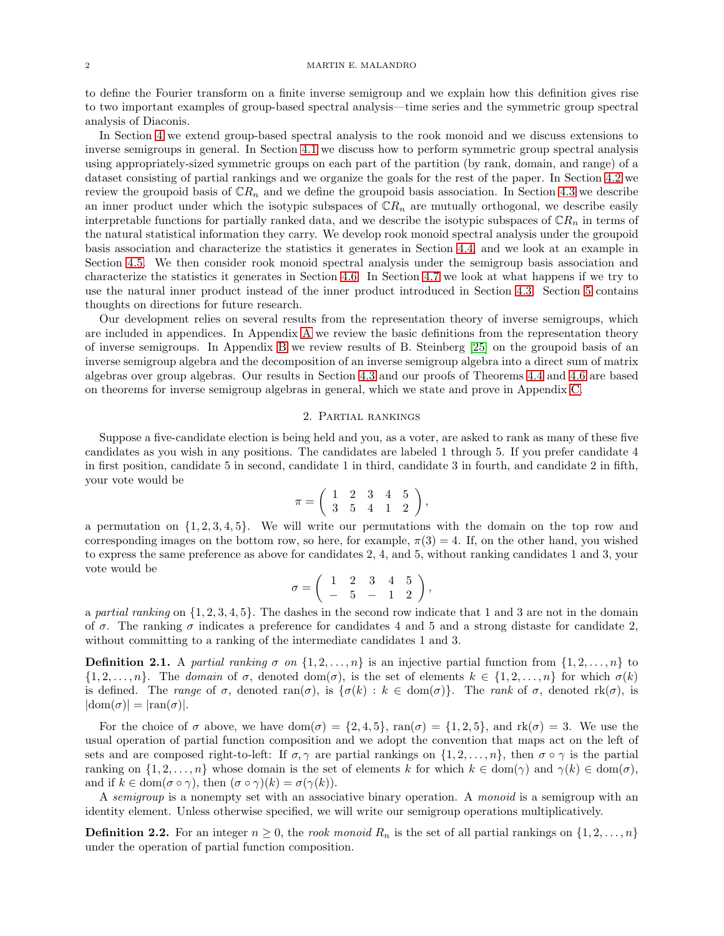to define the Fourier transform on a finite inverse semigroup and we explain how this definition gives rise to two important examples of group-based spectral analysis—time series and the symmetric group spectral analysis of Diaconis.

In Section [4](#page-6-0) we extend group-based spectral analysis to the rook monoid and we discuss extensions to inverse semigroups in general. In Section [4.1](#page-6-1) we discuss how to perform symmetric group spectral analysis using appropriately-sized symmetric groups on each part of the partition (by rank, domain, and range) of a dataset consisting of partial rankings and we organize the goals for the rest of the paper. In Section [4.2](#page-7-0) we review the groupoid basis of  $\mathbb{C}R_n$  and we define the groupoid basis association. In Section [4.3](#page-8-0) we describe an inner product under which the isotypic subspaces of  $\mathbb{C}R_n$  are mutually orthogonal, we describe easily interpretable functions for partially ranked data, and we describe the isotypic subspaces of  $\mathbb{C}R_n$  in terms of the natural statistical information they carry. We develop rook monoid spectral analysis under the groupoid basis association and characterize the statistics it generates in Section [4.4,](#page-9-1) and we look at an example in Section [4.5.](#page-10-0) We then consider rook monoid spectral analysis under the semigroup basis association and characterize the statistics it generates in Section [4.6.](#page-14-0) In Section [4.7](#page-15-1) we look at what happens if we try to use the natural inner product instead of the inner product introduced in Section [4.3.](#page-8-0) Section [5](#page-16-0) contains thoughts on directions for future research.

Our development relies on several results from the representation theory of inverse semigroups, which are included in appendices. In Appendix [A](#page-16-1) we review the basic definitions from the representation theory of inverse semigroups. In Appendix [B](#page-17-0) we review results of B. Steinberg [\[25\]](#page-24-0) on the groupoid basis of an inverse semigroup algebra and the decomposition of an inverse semigroup algebra into a direct sum of matrix algebras over group algebras. Our results in Section [4.3](#page-8-0) and our proofs of Theorems [4.4](#page-9-0) and [4.6](#page-15-0) are based on theorems for inverse semigroup algebras in general, which we state and prove in Appendix [C.](#page-19-0)

## 2. Partial rankings

<span id="page-1-0"></span>Suppose a five-candidate election is being held and you, as a voter, are asked to rank as many of these five candidates as you wish in any positions. The candidates are labeled 1 through 5. If you prefer candidate 4 in first position, candidate 5 in second, candidate 1 in third, candidate 3 in fourth, and candidate 2 in fifth, your vote would be

$$
\pi = \left( \begin{array}{rrrr} 1 & 2 & 3 & 4 & 5 \\ 3 & 5 & 4 & 1 & 2 \end{array} \right),
$$

a permutation on  $\{1, 2, 3, 4, 5\}$ . We will write our permutations with the domain on the top row and corresponding images on the bottom row, so here, for example,  $\pi(3) = 4$ . If, on the other hand, you wished to express the same preference as above for candidates 2, 4, and 5, without ranking candidates 1 and 3, your vote would be

$$
\sigma = \left( \begin{array}{rrr} 1 & 2 & 3 & 4 & 5 \\ - & 5 & - & 1 & 2 \end{array} \right),
$$

a partial ranking on  $\{1, 2, 3, 4, 5\}$ . The dashes in the second row indicate that 1 and 3 are not in the domain of  $\sigma$ . The ranking  $\sigma$  indicates a preference for candidates 4 and 5 and a strong distaste for candidate 2, without committing to a ranking of the intermediate candidates 1 and 3.

**Definition 2.1.** A partial ranking  $\sigma$  on  $\{1, 2, \ldots, n\}$  is an injective partial function from  $\{1, 2, \ldots, n\}$  to  $\{1, 2, \ldots, n\}$ . The domain of  $\sigma$ , denoted dom $(\sigma)$ , is the set of elements  $k \in \{1, 2, \ldots, n\}$  for which  $\sigma(k)$ is defined. The range of  $\sigma$ , denoted ran $(\sigma)$ , is  $\{\sigma(k): k \in \text{dom}(\sigma)\}\)$ . The rank of  $\sigma$ , denoted rk $(\sigma)$ , is  $|\text{dom}(\sigma)| = |\text{ran}(\sigma)|.$ 

For the choice of  $\sigma$  above, we have dom $(\sigma) = \{2, 4, 5\}$ , ran $(\sigma) = \{1, 2, 5\}$ , and  $rk(\sigma) = 3$ . We use the usual operation of partial function composition and we adopt the convention that maps act on the left of sets and are composed right-to-left: If  $\sigma, \gamma$  are partial rankings on  $\{1, 2, \ldots, n\}$ , then  $\sigma \circ \gamma$  is the partial ranking on  $\{1, 2, \ldots, n\}$  whose domain is the set of elements k for which  $k \in \text{dom}(\gamma)$  and  $\gamma(k) \in \text{dom}(\sigma)$ , and if  $k \in \text{dom}(\sigma \circ \gamma)$ , then  $(\sigma \circ \gamma)(k) = \sigma(\gamma(k))$ .

A semigroup is a nonempty set with an associative binary operation. A monoid is a semigroup with an identity element. Unless otherwise specified, we will write our semigroup operations multiplicatively.

**Definition 2.2.** For an integer  $n \geq 0$ , the rook monoid  $R_n$  is the set of all partial rankings on  $\{1, 2, \ldots, n\}$ under the operation of partial function composition.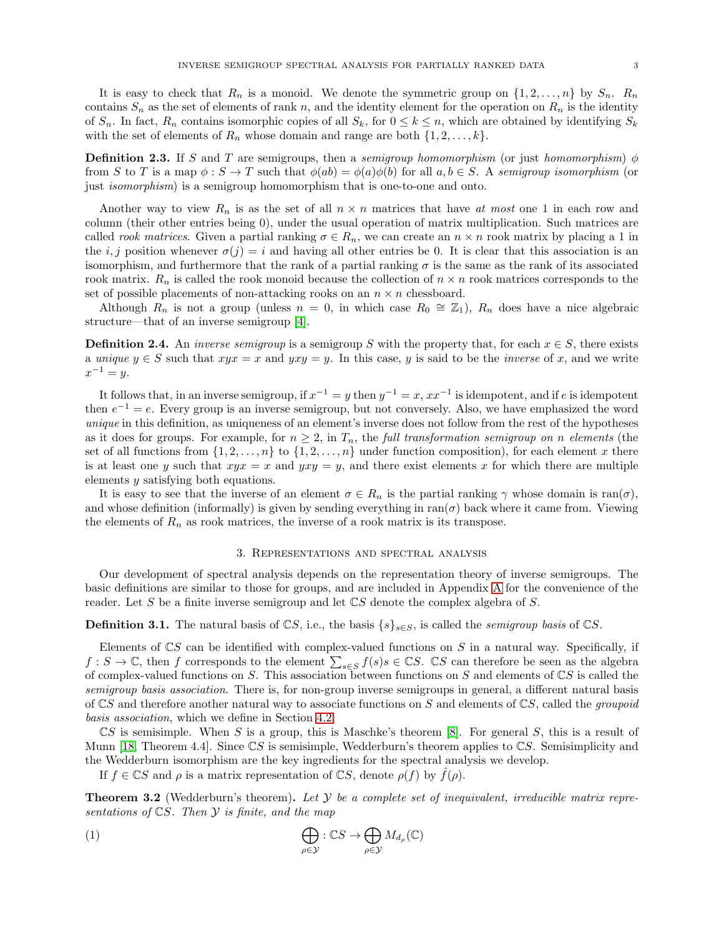It is easy to check that  $R_n$  is a monoid. We denote the symmetric group on  $\{1, 2, \ldots, n\}$  by  $S_n$ .  $R_n$ contains  $S_n$  as the set of elements of rank n, and the identity element for the operation on  $R_n$  is the identity of  $S_n$ . In fact,  $R_n$  contains isomorphic copies of all  $S_k$ , for  $0 \le k \le n$ , which are obtained by identifying  $S_k$ with the set of elements of  $R_n$  whose domain and range are both  $\{1, 2, \ldots, k\}$ .

**Definition 2.3.** If S and T are semigroups, then a semigroup homomorphism (or just homomorphism)  $\phi$ from S to T is a map  $\phi: S \to T$  such that  $\phi(ab) = \phi(a)\phi(b)$  for all  $a, b \in S$ . A semigroup isomorphism (or just *isomorphism*) is a semigroup homomorphism that is one-to-one and onto.

Another way to view  $R_n$  is as the set of all  $n \times n$  matrices that have at most one 1 in each row and column (their other entries being 0), under the usual operation of matrix multiplication. Such matrices are called rook matrices. Given a partial ranking  $\sigma \in R_n$ , we can create an  $n \times n$  rook matrix by placing a 1 in the i, j position whenever  $\sigma(j) = i$  and having all other entries be 0. It is clear that this association is an isomorphism, and furthermore that the rank of a partial ranking  $\sigma$  is the same as the rank of its associated rook matrix.  $R_n$  is called the rook monoid because the collection of  $n \times n$  rook matrices corresponds to the set of possible placements of non-attacking rooks on an  $n \times n$  chessboard.

Although  $R_n$  is not a group (unless  $n = 0$ , in which case  $R_0 \cong \mathbb{Z}_1$ ),  $R_n$  does have a nice algebraic structure—that of an inverse semigroup [\[4\]](#page-23-1).

**Definition 2.4.** An *inverse semigroup* is a semigroup S with the property that, for each  $x \in S$ , there exists a unique  $y \in S$  such that  $xyx = x$  and  $yxy = y$ . In this case, y is said to be the *inverse* of x, and we write  $x^{-1} = y.$ 

It follows that, in an inverse semigroup, if  $x^{-1} = y$  then  $y^{-1} = x$ ,  $xx^{-1}$  is idempotent, and if e is idempotent then  $e^{-1} = e$ . Every group is an inverse semigroup, but not conversely. Also, we have emphasized the word unique in this definition, as uniqueness of an element's inverse does not follow from the rest of the hypotheses as it does for groups. For example, for  $n \geq 2$ , in  $T_n$ , the full transformation semigroup on n elements (the set of all functions from  $\{1, 2, \ldots, n\}$  to  $\{1, 2, \ldots, n\}$  under function composition), for each element x there is at least one y such that  $xyx = x$  and  $yxy = y$ , and there exist elements x for which there are multiple elements y satisfying both equations.

It is easy to see that the inverse of an element  $\sigma \in R_n$  is the partial ranking  $\gamma$  whose domain is  $\text{ran}(\sigma)$ , and whose definition (informally) is given by sending everything in  $ran(\sigma)$  back where it came from. Viewing the elements of  $R_n$  as rook matrices, the inverse of a rook matrix is its transpose.

## 3. Representations and spectral analysis

<span id="page-2-0"></span>Our development of spectral analysis depends on the representation theory of inverse semigroups. The basic definitions are similar to those for groups, and are included in Appendix [A](#page-16-1) for the convenience of the reader. Let S be a finite inverse semigroup and let  $\mathbb{C}S$  denote the complex algebra of S.

# **Definition 3.1.** The natural basis of  $\mathbb{C}S$ , i.e., the basis  $\{s\}_{s\in S}$ , is called the *semigroup basis* of  $\mathbb{C}S$ .

Elements of  $\mathbb{C}S$  can be identified with complex-valued functions on S in a natural way. Specifically, if  $f: S \to \mathbb{C}$ , then f corresponds to the element  $\sum_{s \in S} f(s)s \in \mathbb{C}S$ .  $\mathbb{C}S$  can therefore be seen as the algebra of complex-valued functions on S. This association between functions on S and elements of  $\mathbb{C}S$  is called the semigroup basis association. There is, for non-group inverse semigroups in general, a different natural basis of  $\mathbb{C}S$  and therefore another natural way to associate functions on S and elements of  $\mathbb{C}S$ , called the *groupoid* basis association, which we define in Section [4.2.](#page-7-0)

 $\mathbb{C}S$  is semisimple. When S is a group, this is Maschke's theorem [\[8\]](#page-23-2). For general S, this is a result of Munn [\[18,](#page-24-1) Theorem 4.4]. Since  $\mathbb{C}S$  is semisimple, Wedderburn's theorem applies to  $\mathbb{C}S$ . Semisimplicity and the Wedderburn isomorphism are the key ingredients for the spectral analysis we develop.

<span id="page-2-1"></span>If  $f \in \mathbb{C}S$  and  $\rho$  is a matrix representation of  $\mathbb{C}S$ , denote  $\rho(f)$  by  $\hat{f}(\rho)$ .

<span id="page-2-2"></span>**Theorem 3.2** (Wedderburn's theorem). Let  $Y$  be a complete set of inequivalent, irreducible matrix representations of  $\mathbb{C}S$ . Then  $\mathcal Y$  is finite, and the map

(1) 
$$
\bigoplus_{\rho \in \mathcal{Y}} : \mathbb{C}S \to \bigoplus_{\rho \in \mathcal{Y}} M_{d_{\rho}}(\mathbb{C})
$$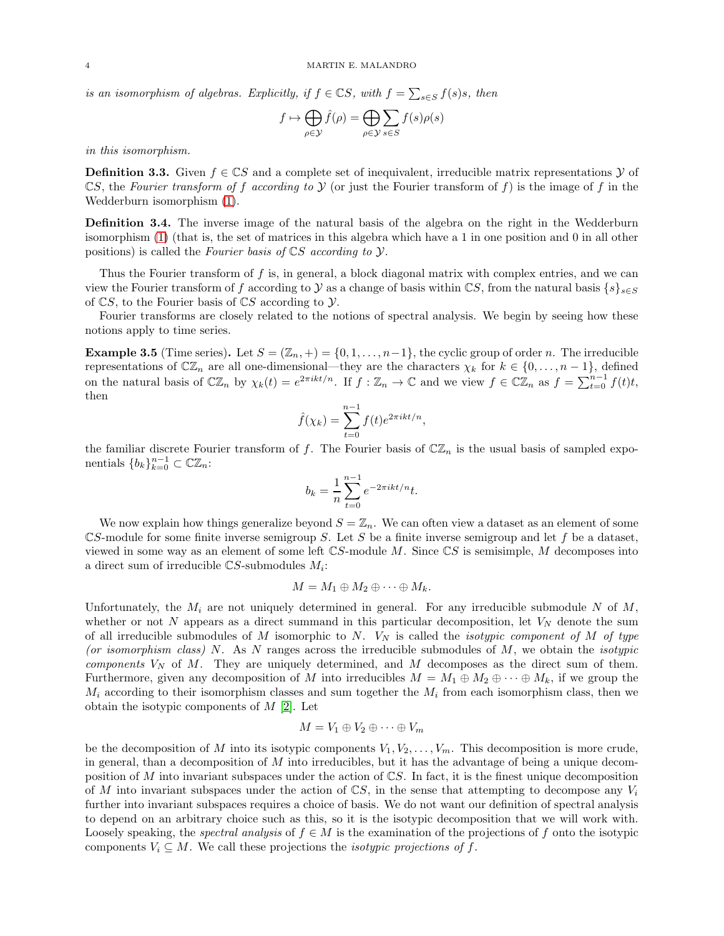is an isomorphism of algebras. Explicitly, if  $f \in \mathbb{C}S$ , with  $f = \sum_{s \in S} f(s)s$ , then

$$
f \mapsto \bigoplus_{\rho \in \mathcal{Y}} \hat{f}(\rho) = \bigoplus_{\rho \in \mathcal{Y}} \sum_{s \in S} f(s) \rho(s)
$$

in this isomorphism.

**Definition 3.3.** Given  $f \in \mathbb{C}S$  and a complete set of inequivalent, irreducible matrix representations  $\mathcal{Y}$  of CS, the Fourier transform of f according to  $Y$  (or just the Fourier transform of f) is the image of f in the Wedderburn isomorphism [\(1\)](#page-2-1).

Definition 3.4. The inverse image of the natural basis of the algebra on the right in the Wedderburn isomorphism [\(1\)](#page-2-1) (that is, the set of matrices in this algebra which have a 1 in one position and 0 in all other positions) is called the Fourier basis of  $\mathbb{C}S$  according to  $\mathcal{Y}$ .

Thus the Fourier transform of  $f$  is, in general, a block diagonal matrix with complex entries, and we can view the Fourier transform of f according to Y as a change of basis within CS, from the natural basis  $\{s\}_{s\in S}$ of  $\mathbb{C}S$ , to the Fourier basis of  $\mathbb{C}S$  according to  $\mathcal{Y}$ .

Fourier transforms are closely related to the notions of spectral analysis. We begin by seeing how these notions apply to time series.

<span id="page-3-0"></span>**Example 3.5** (Time series). Let  $S = (\mathbb{Z}_n, +) = \{0, 1, \ldots, n-1\}$ , the cyclic group of order n. The irreducible representations of  $\mathbb{C}\mathbb{Z}_n$  are all one-dimensional—they are the characters  $\chi_k$  for  $k \in \{0, \ldots, n-1\}$ , defined on the natural basis of  $\mathbb{C}\mathbb{Z}_n$  by  $\chi_k(t) = e^{2\pi ikt/n}$ . If  $f : \mathbb{Z}_n \to \mathbb{C}$  and we view  $f \in \mathbb{C}\mathbb{Z}_n$  as  $f = \sum_{t=0}^{n-1} f(t)t$ , then

$$
\hat{f}(\chi_k) = \sum_{t=0}^{n-1} f(t)e^{2\pi ikt/n},
$$

the familiar discrete Fourier transform of f. The Fourier basis of  $\mathbb{C}\mathbb{Z}_n$  is the usual basis of sampled exponentials  ${b_k}_{k=0}^{n-1} \subset \mathbb{C} \mathbb{Z}_n$ :

$$
b_k = \frac{1}{n} \sum_{t=0}^{n-1} e^{-2\pi i kt/n} t.
$$

We now explain how things generalize beyond  $S = \mathbb{Z}_n$ . We can often view a dataset as an element of some  $\mathbb{C}S$ -module for some finite inverse semigroup S. Let S be a finite inverse semigroup and let f be a dataset, viewed in some way as an element of some left  $\mathbb{C}S$ -module M. Since  $\mathbb{C}S$  is semisimple, M decomposes into a direct sum of irreducible  $\mathbb{C}S$ -submodules  $M_i$ :

$$
M=M_1\oplus M_2\oplus\cdots\oplus M_k.
$$

Unfortunately, the  $M_i$  are not uniquely determined in general. For any irreducible submodule N of  $M$ , whether or not  $N$  appears as a direct summand in this particular decomposition, let  $V_N$  denote the sum of all irreducible submodules of M isomorphic to N.  $V_N$  is called the *isotypic component of* M of type (or isomorphism class) N. As N ranges across the irreducible submodules of  $M$ , we obtain the *isotypic* components  $V_N$  of M. They are uniquely determined, and M decomposes as the direct sum of them. Furthermore, given any decomposition of M into irreducibles  $M = M_1 \oplus M_2 \oplus \cdots \oplus M_k$ , if we group the  $M_i$  according to their isomorphism classes and sum together the  $M_i$  from each isomorphism class, then we obtain the isotypic components of  $M$  [\[2\]](#page-23-3). Let

$$
M = V_1 \oplus V_2 \oplus \cdots \oplus V_m
$$

be the decomposition of M into its isotypic components  $V_1, V_2, \ldots, V_m$ . This decomposition is more crude, in general, than a decomposition of  $M$  into irreducibles, but it has the advantage of being a unique decomposition of M into invariant subspaces under the action of  $\mathbb{C}S$ . In fact, it is the finest unique decomposition of M into invariant subspaces under the action of  $\mathbb{C}S$ , in the sense that attempting to decompose any  $V_i$ further into invariant subspaces requires a choice of basis. We do not want our definition of spectral analysis to depend on an arbitrary choice such as this, so it is the isotypic decomposition that we will work with. Loosely speaking, the spectral analysis of  $f \in M$  is the examination of the projections of f onto the isotypic components  $V_i \subseteq M$ . We call these projections the *isotypic projections of f*.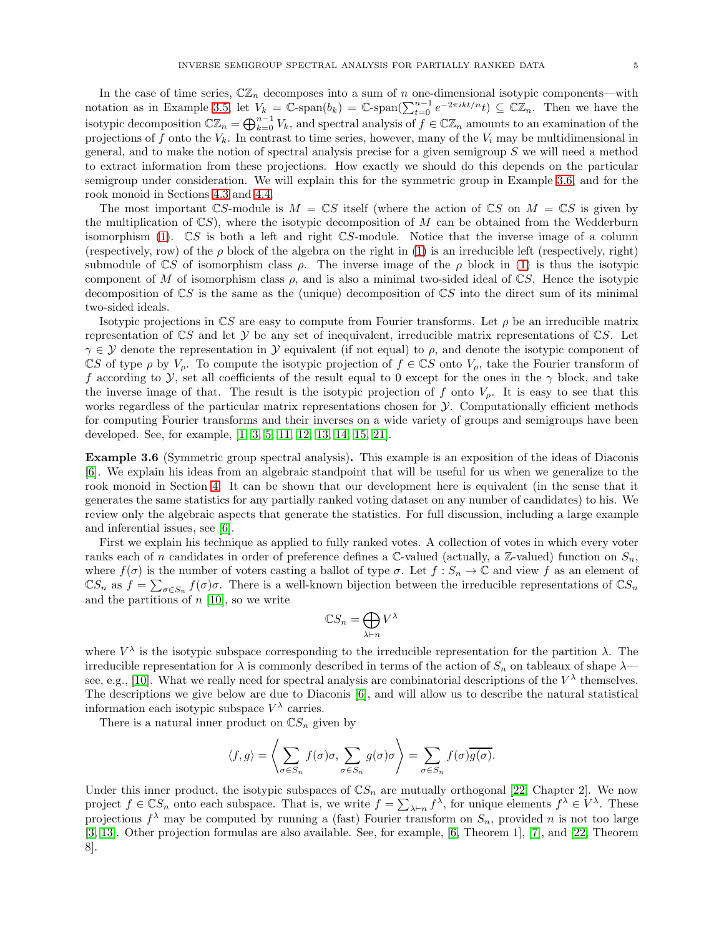In the case of time series,  $\mathbb{C}\mathbb{Z}_n$  decomposes into a sum of n one-dimensional isotypic components—with notation as in Example [3.5,](#page-3-0) let  $V_k = \mathbb{C}$ -span $(b_k) = \mathbb{C}$ -span $(\sum_{t=0}^{n-1} e^{-2\pi i kt/n}t) \subseteq \mathbb{C}\mathbb{Z}_n$ . Then we have the isotypic decomposition  $\mathbb{C}\mathbb{Z}_n = \bigoplus_{k=0}^{n-1} V_k$ , and spectral analysis of  $f \in \mathbb{C}\mathbb{Z}_n$  amounts to an examination of the projections of f onto the  $V_k$ . In contrast to time series, however, many of the  $V_i$  may be multidimensional in general, and to make the notion of spectral analysis precise for a given semigroup S we will need a method to extract information from these projections. How exactly we should do this depends on the particular semigroup under consideration. We will explain this for the symmetric group in Example [3.6,](#page-4-0) and for the rook monoid in Sections [4.3](#page-8-0) and [4.4.](#page-9-1)

The most important CS-module is  $M = \mathbb{C}S$  itself (where the action of CS on  $M = \mathbb{C}S$  is given by the multiplication of  $\mathbb{C}S$ ), where the isotypic decomposition of M can be obtained from the Wedderburn isomorphism [\(1\)](#page-2-1).  $\mathbb{C}S$  is both a left and right  $\mathbb{C}S$ -module. Notice that the inverse image of a column (respectively, row) of the  $\rho$  block of the algebra on the right in [\(1\)](#page-2-1) is an irreducible left (respectively, right) submodule of  $\mathbb{C}S$  of isomorphism class  $\rho$ . The inverse image of the  $\rho$  block in [\(1\)](#page-2-1) is thus the isotypic component of M of isomorphism class  $\rho$ , and is also a minimal two-sided ideal of CS. Hence the isotypic decomposition of  $\mathbb{C}S$  is the same as the (unique) decomposition of  $\mathbb{C}S$  into the direct sum of its minimal two-sided ideals.

Isotypic projections in  $\mathbb{C}S$  are easy to compute from Fourier transforms. Let  $\rho$  be an irreducible matrix representation of  $\mathbb{C}S$  and let Y be any set of inequivalent, irreducible matrix representations of  $\mathbb{C}S$ . Let  $\gamma \in \mathcal{Y}$  denote the representation in  $\mathcal{Y}$  equivalent (if not equal) to  $\rho$ , and denote the isotypic component of CS of type  $\rho$  by  $V_{\rho}$ . To compute the isotypic projection of  $f \in \mathbb{C}S$  onto  $V_{\rho}$ , take the Fourier transform of f according to Y, set all coefficients of the result equal to 0 except for the ones in the  $\gamma$  block, and take the inverse image of that. The result is the isotypic projection of f onto  $V_\rho$ . It is easy to see that this works regardless of the particular matrix representations chosen for  $\mathcal{Y}$ . Computationally efficient methods for computing Fourier transforms and their inverses on a wide variety of groups and semigroups have been developed. See, for example, [\[1,](#page-23-4) [3,](#page-23-5) [5,](#page-23-6) [11,](#page-24-2) [12,](#page-24-3) [13,](#page-24-4) [14,](#page-24-5) [15,](#page-24-6) [21\]](#page-24-7).

<span id="page-4-0"></span>Example 3.6 (Symmetric group spectral analysis). This example is an exposition of the ideas of Diaconis [\[6\]](#page-23-0). We explain his ideas from an algebraic standpoint that will be useful for us when we generalize to the rook monoid in Section [4.](#page-6-0) It can be shown that our development here is equivalent (in the sense that it generates the same statistics for any partially ranked voting dataset on any number of candidates) to his. We review only the algebraic aspects that generate the statistics. For full discussion, including a large example and inferential issues, see [\[6\]](#page-23-0).

First we explain his technique as applied to fully ranked votes. A collection of votes in which every voter ranks each of n candidates in order of preference defines a C-valued (actually, a Z-valued) function on  $S_n$ , where  $f(\sigma)$  is the number of voters casting a ballot of type  $\sigma$ . Let  $f : S_n \to \mathbb{C}$  and view f as an element of  $\mathbb{C}S_n$  as  $f = \sum_{\sigma \in S_n} f(\sigma)\sigma$ . There is a well-known bijection between the irreducible representations of  $\mathbb{C}S_n$ and the partitions of  $n$  [\[10\]](#page-24-8), so we write

$$
\mathbb{C}S_n = \bigoplus_{\lambda \vdash n} V^{\lambda}
$$

where  $V^{\lambda}$  is the isotypic subspace corresponding to the irreducible representation for the partition  $\lambda$ . The irreducible representation for  $\lambda$  is commonly described in terms of the action of  $S_n$  on tableaux of shape  $\lambda$ — see, e.g., [\[10\]](#page-24-8). What we really need for spectral analysis are combinatorial descriptions of the  $V^{\lambda}$  themselves. The descriptions we give below are due to Diaconis [\[6\]](#page-23-0), and will allow us to describe the natural statistical information each isotypic subspace  $V^{\lambda}$  carries.

There is a natural inner product on  $\mathbb{C}S_n$  given by

$$
\langle f, g \rangle = \left\langle \sum_{\sigma \in S_n} f(\sigma) \sigma, \sum_{\sigma \in S_n} g(\sigma) \sigma \right\rangle = \sum_{\sigma \in S_n} f(\sigma) \overline{g(\sigma)}.
$$

Under this inner product, the isotypic subspaces of  $\mathbb{C}S_n$  are mutually orthogonal [\[22,](#page-24-9) Chapter 2]. We now project  $f \in \mathbb{C}S_n$  onto each subspace. That is, we write  $f = \sum_{\lambda \vdash n} f^{\lambda}$ , for unique elements  $f^{\lambda} \in V^{\lambda}$ . These projections  $f^{\lambda}$  may be computed by running a (fast) Fourier transform on  $S_n$ , provided n is not too large [\[3,](#page-23-5) [13\]](#page-24-4). Other projection formulas are also available. See, for example, [\[6,](#page-23-0) Theorem 1], [\[7\]](#page-23-7), and [\[22,](#page-24-9) Theorem 8].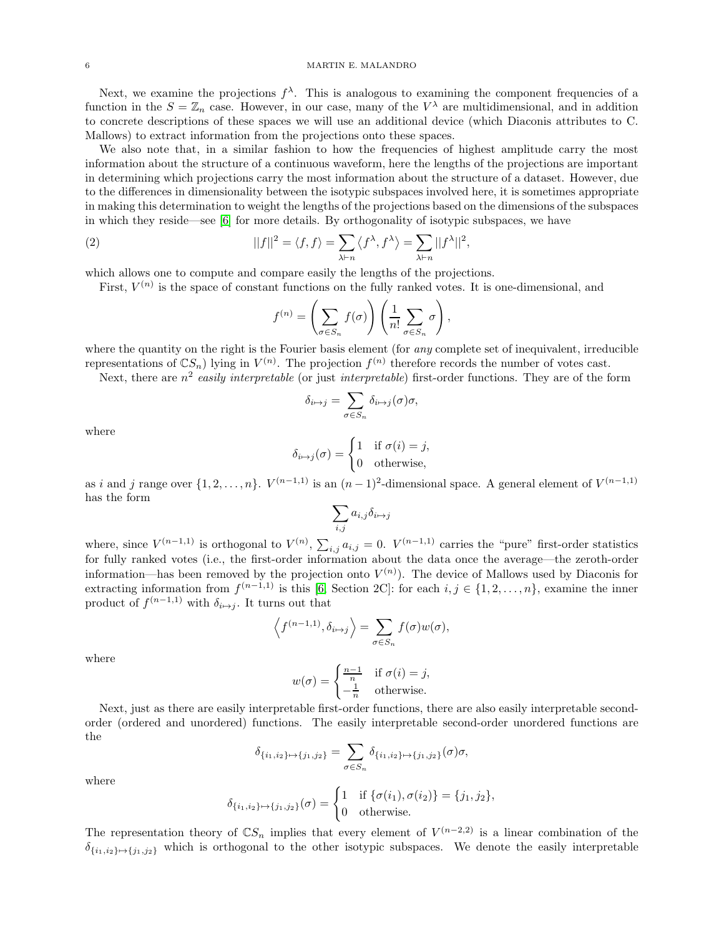Next, we examine the projections  $f^{\lambda}$ . This is analogous to examining the component frequencies of a function in the  $S = \mathbb{Z}_n$  case. However, in our case, many of the  $V^{\lambda}$  are multidimensional, and in addition to concrete descriptions of these spaces we will use an additional device (which Diaconis attributes to C. Mallows) to extract information from the projections onto these spaces.

We also note that, in a similar fashion to how the frequencies of highest amplitude carry the most information about the structure of a continuous waveform, here the lengths of the projections are important in determining which projections carry the most information about the structure of a dataset. However, due to the differences in dimensionality between the isotypic subspaces involved here, it is sometimes appropriate in making this determination to weight the lengths of the projections based on the dimensions of the subspaces in which they reside—see [\[6\]](#page-23-0) for more details. By orthogonality of isotypic subspaces, we have

(2) 
$$
||f||^2 = \langle f, f \rangle = \sum_{\lambda \vdash n} \langle f^{\lambda}, f^{\lambda} \rangle = \sum_{\lambda \vdash n} ||f^{\lambda}||^2,
$$

which allows one to compute and compare easily the lengths of the projections.

First,  $V^{(n)}$  is the space of constant functions on the fully ranked votes. It is one-dimensional, and

<span id="page-5-0"></span>
$$
f^{(n)} = \left(\sum_{\sigma \in S_n} f(\sigma)\right) \left(\frac{1}{n!} \sum_{\sigma \in S_n} \sigma\right),\,
$$

where the quantity on the right is the Fourier basis element (for any complete set of inequivalent, irreducible representations of  $\mathbb{C}S_n$ ) lying in  $V^{(n)}$ . The projection  $f^{(n)}$  therefore records the number of votes cast.

Next, there are  $n^2$  easily interpretable (or just interpretable) first-order functions. They are of the form

$$
\delta_{i \mapsto j} = \sum_{\sigma \in S_n} \delta_{i \mapsto j}(\sigma) \sigma,
$$

where

$$
\delta_{i \mapsto j}(\sigma) = \begin{cases} 1 & \text{if } \sigma(i) = j, \\ 0 & \text{otherwise,} \end{cases}
$$

as i and j range over  $\{1, 2, ..., n\}$ .  $V^{(n-1,1)}$  is an  $(n-1)^2$ -dimensional space. A general element of  $V^{(n-1,1)}$ has the form

$$
\sum_{i,j} a_{i,j} \delta_{i \mapsto j}
$$

where, since  $V^{(n-1,1)}$  is orthogonal to  $V^{(n)}$ ,  $\sum_{i,j} a_{i,j} = 0$ .  $V^{(n-1,1)}$  carries the "pure" first-order statistics for fully ranked votes (i.e., the first-order information about the data once the average—the zeroth-order information—has been removed by the projection onto  $V^{(n)}$ ). The device of Mallows used by Diaconis for extracting information from  $f^{(n-1,1)}$  is this [\[6,](#page-23-0) Section 2C]: for each  $i, j \in \{1, 2, ..., n\}$ , examine the inner product of  $f^{(n-1,1)}$  with  $\delta_{i\mapsto j}$ . It turns out that

$$
\left\langle f^{(n-1,1)}, \delta_{i \mapsto j} \right\rangle = \sum_{\sigma \in S_n} f(\sigma) w(\sigma),
$$

where

$$
w(\sigma) = \begin{cases} \frac{n-1}{n} & \text{if } \sigma(i) = j, \\ -\frac{1}{n} & \text{otherwise.} \end{cases}
$$

Next, just as there are easily interpretable first-order functions, there are also easily interpretable secondorder (ordered and unordered) functions. The easily interpretable second-order unordered functions are the

$$
\delta_{\{i_1,i_2\}\mapsto\{j_1,j_2\}}=\sum_{\sigma\in S_n}\delta_{\{i_1,i_2\}\mapsto\{j_1,j_2\}}(\sigma)\sigma,
$$

where

$$
\delta_{\{i_1,i_2\}\mapsto \{j_1,j_2\}}(\sigma) = \begin{cases} 1 & \text{if } \{\sigma(i_1),\sigma(i_2)\} = \{j_1,j_2\}, \\ 0 & \text{otherwise.} \end{cases}
$$

The representation theory of  $\mathbb{C}S_n$  implies that every element of  $V^{(n-2,2)}$  is a linear combination of the  $\delta_{\{i_1,i_2\}\rightarrow\{j_1,j_2\}}$  which is orthogonal to the other isotypic subspaces. We denote the easily interpretable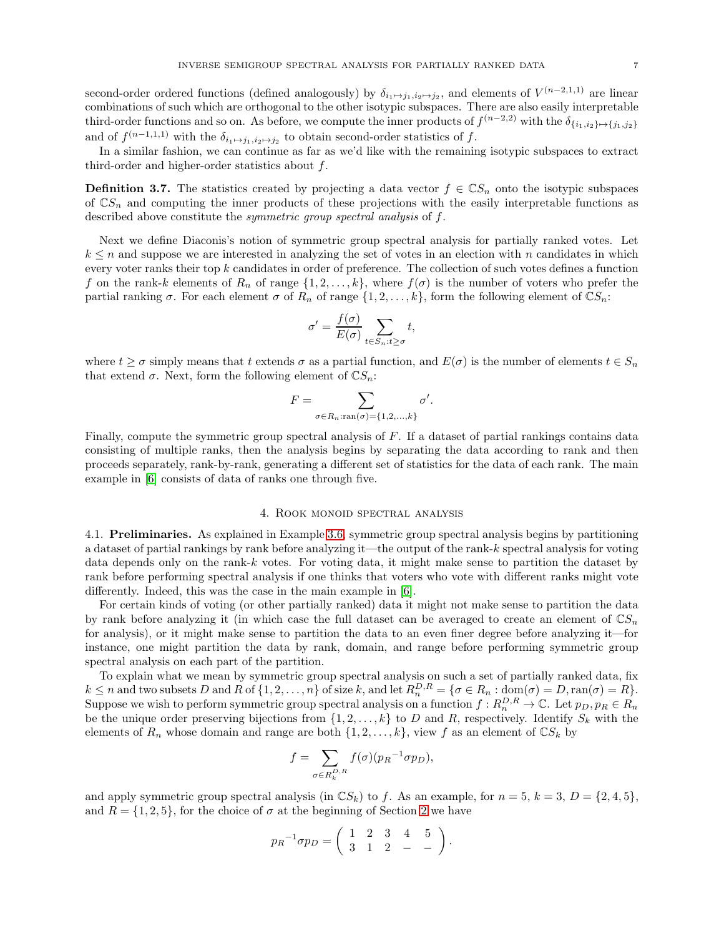second-order ordered functions (defined analogously) by  $\delta_{i_1\mapsto j_1,i_2\mapsto j_2}$ , and elements of  $V^{(n-2,1,1)}$  are linear combinations of such which are orthogonal to the other isotypic subspaces. There are also easily interpretable third-order functions and so on. As before, we compute the inner products of  $f^{(n-2,2)}$  with the  $\delta_{\{i_1,i_2\}\rightarrow\{j_1,j_2\}}$ and of  $f^{(n-1,1,1)}$  with the  $\delta_{i_1\mapsto j_1,i_2\mapsto j_2}$  to obtain second-order statistics of f.

In a similar fashion, we can continue as far as we'd like with the remaining isotypic subspaces to extract third-order and higher-order statistics about  $f$ .

**Definition 3.7.** The statistics created by projecting a data vector  $f \in \mathbb{C}S_n$  onto the isotypic subspaces of  $\mathbb{C}S_n$  and computing the inner products of these projections with the easily interpretable functions as described above constitute the symmetric group spectral analysis of f.

Next we define Diaconis's notion of symmetric group spectral analysis for partially ranked votes. Let  $k \leq n$  and suppose we are interested in analyzing the set of votes in an election with n candidates in which every voter ranks their top k candidates in order of preference. The collection of such votes defines a function f on the rank-k elements of  $R_n$  of range  $\{1, 2, \ldots, k\}$ , where  $f(\sigma)$  is the number of voters who prefer the partial ranking  $\sigma$ . For each element  $\sigma$  of  $R_n$  of range  $\{1, 2, \ldots, k\}$ , form the following element of  $\mathbb{C}S_n$ :

$$
\sigma' = \frac{f(\sigma)}{E(\sigma)} \sum_{t \in S_n : t \ge \sigma} t,
$$

where  $t \geq \sigma$  simply means that t extends  $\sigma$  as a partial function, and  $E(\sigma)$  is the number of elements  $t \in S_n$ that extend  $\sigma$ . Next, form the following element of  $\mathbb{C}S_n$ :

$$
F = \sum_{\sigma \in R_n : \text{ran}(\sigma) = \{1, 2, \dots, k\}} \sigma'.
$$

Finally, compute the symmetric group spectral analysis of F. If a dataset of partial rankings contains data consisting of multiple ranks, then the analysis begins by separating the data according to rank and then proceeds separately, rank-by-rank, generating a different set of statistics for the data of each rank. The main example in [\[6\]](#page-23-0) consists of data of ranks one through five.

### 4. Rook monoid spectral analysis

<span id="page-6-1"></span><span id="page-6-0"></span>4.1. Preliminaries. As explained in Example [3.6,](#page-4-0) symmetric group spectral analysis begins by partitioning a dataset of partial rankings by rank before analyzing it—the output of the rank-k spectral analysis for voting data depends only on the rank-k votes. For voting data, it might make sense to partition the dataset by rank before performing spectral analysis if one thinks that voters who vote with different ranks might vote differently. Indeed, this was the case in the main example in [\[6\]](#page-23-0).

For certain kinds of voting (or other partially ranked) data it might not make sense to partition the data by rank before analyzing it (in which case the full dataset can be averaged to create an element of  $\mathbb{C}S_n$ for analysis), or it might make sense to partition the data to an even finer degree before analyzing it—for instance, one might partition the data by rank, domain, and range before performing symmetric group spectral analysis on each part of the partition.

To explain what we mean by symmetric group spectral analysis on such a set of partially ranked data, fix  $k \leq n$  and two subsets D and R of  $\{1, 2, ..., n\}$  of size k, and let  $R_n^{D,R} = \{\sigma \in R_n : \text{dom}(\sigma) = D, \text{ran}(\sigma) = R\}.$ Suppose we wish to perform symmetric group spectral analysis on a function  $f: R_n^{D,R} \to \mathbb{C}$ . Let  $p_D, p_R \in R_n$ be the unique order preserving bijections from  $\{1, 2, \ldots, k\}$  to D and R, respectively. Identify  $S_k$  with the elements of  $R_n$  whose domain and range are both  $\{1, 2, \ldots, k\}$ , view f as an element of  $\mathbb{C}S_k$  by

$$
f = \sum_{\sigma \in R_k^{D,R}} f(\sigma)(p_R^{-1} \sigma p_D),
$$

and apply symmetric group spectral analysis (in  $\mathbb{C}S_k$ ) to f. As an example, for  $n = 5$ ,  $k = 3$ ,  $D = \{2, 4, 5\}$ , and  $R = \{1, 2, 5\}$  $R = \{1, 2, 5\}$  $R = \{1, 2, 5\}$ , for the choice of  $\sigma$  at the beginning of Section 2 we have

$$
p_R^{-1} \sigma p_D = \left( \begin{array}{cccc} 1 & 2 & 3 & 4 & 5 \\ 3 & 1 & 2 & - & - \end{array} \right).
$$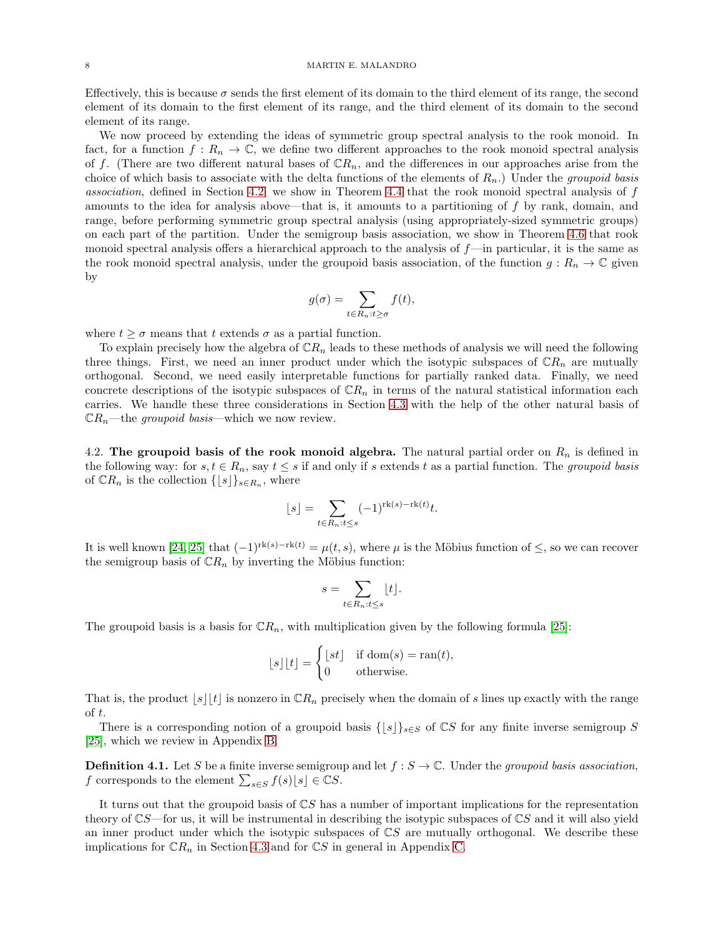Effectively, this is because  $\sigma$  sends the first element of its domain to the third element of its range, the second element of its domain to the first element of its range, and the third element of its domain to the second element of its range.

We now proceed by extending the ideas of symmetric group spectral analysis to the rook monoid. In fact, for a function  $f: R_n \to \mathbb{C}$ , we define two different approaches to the rook monoid spectral analysis of f. (There are two different natural bases of  $\mathbb{C}R_n$ , and the differences in our approaches arise from the choice of which basis to associate with the delta functions of the elements of  $R_n$ .) Under the *groupoid basis* association, defined in Section [4.2,](#page-7-0) we show in Theorem [4.4](#page-9-0) that the rook monoid spectral analysis of f amounts to the idea for analysis above—that is, it amounts to a partitioning of f by rank, domain, and range, before performing symmetric group spectral analysis (using appropriately-sized symmetric groups) on each part of the partition. Under the semigroup basis association, we show in Theorem [4.6](#page-15-0) that rook monoid spectral analysis offers a hierarchical approach to the analysis of  $f$ —in particular, it is the same as the rook monoid spectral analysis, under the groupoid basis association, of the function  $g: R_n \to \mathbb{C}$  given by

$$
g(\sigma) = \sum_{t \in R_n : t \ge \sigma} f(t),
$$

where  $t > \sigma$  means that t extends  $\sigma$  as a partial function.

To explain precisely how the algebra of  $\mathbb{C}R_n$  leads to these methods of analysis we will need the following three things. First, we need an inner product under which the isotypic subspaces of  $\mathbb{C}R_n$  are mutually orthogonal. Second, we need easily interpretable functions for partially ranked data. Finally, we need concrete descriptions of the isotypic subspaces of  $\mathbb{C}R_n$  in terms of the natural statistical information each carries. We handle these three considerations in Section [4.3](#page-8-0) with the help of the other natural basis of  $\mathbb{C}R_n$ —the *groupoid basis*—which we now review.

<span id="page-7-0"></span>4.2. The groupoid basis of the rook monoid algebra. The natural partial order on  $R_n$  is defined in the following way: for  $s, t \in R_n$ , say  $t \leq s$  if and only if s extends t as a partial function. The groupoid basis of  $\mathbb{C}R_n$  is the collection  $\{\lfloor s\rfloor\}_{s\in R_n}$ , where

$$
\lfloor s\rfloor=\sum_{t\in R_n:t\leq s}(-1)^{\operatorname{rk}(s)-\operatorname{rk}(t)}t.
$$

It is well known [\[24,](#page-24-10) [25\]](#page-24-0) that  $(-1)^{\text{rk}(s)-\text{rk}(t)} = \mu(t, s)$ , where  $\mu$  is the Möbius function of  $\leq$ , so we can recover the semigroup basis of  $\mathbb{C}R_n$  by inverting the Möbius function:

$$
s = \sum_{t \in R_n : t \le s} \lfloor t \rfloor.
$$

The groupoid basis is a basis for  $\mathbb{C}R_n$ , with multiplication given by the following formula [\[25\]](#page-24-0):

$$
\lfloor s \rfloor \lfloor t \rfloor = \begin{cases} \lfloor st \rfloor & \text{if } \text{dom}(s) = \text{ran}(t), \\ 0 & \text{otherwise.} \end{cases}
$$

That is, the product  $|s||t|$  is nonzero in  $\mathbb{C}R_n$  precisely when the domain of s lines up exactly with the range  $\int f(t)$ 

There is a corresponding notion of a groupoid basis  $\{|s|\}_{s\in S}$  of CS for any finite inverse semigroup S [\[25\]](#page-24-0), which we review in Appendix [B.](#page-17-0)

**Definition 4.1.** Let S be a finite inverse semigroup and let  $f : S \to \mathbb{C}$ . Under the *groupoid basis association*, f corresponds to the element  $\sum_{s \in S} f(s) \lfloor s \rfloor \in \mathbb{C}S$ .

It turns out that the groupoid basis of CS has a number of important implications for the representation theory of CS—for us, it will be instrumental in describing the isotypic subspaces of CS and it will also yield an inner product under which the isotypic subspaces of  $\mathbb{C}S$  are mutually orthogonal. We describe these implications for  $\mathbb{C}R_n$  in Section [4.3](#page-8-0) and for  $\mathbb{C}S$  in general in Appendix [C.](#page-19-0)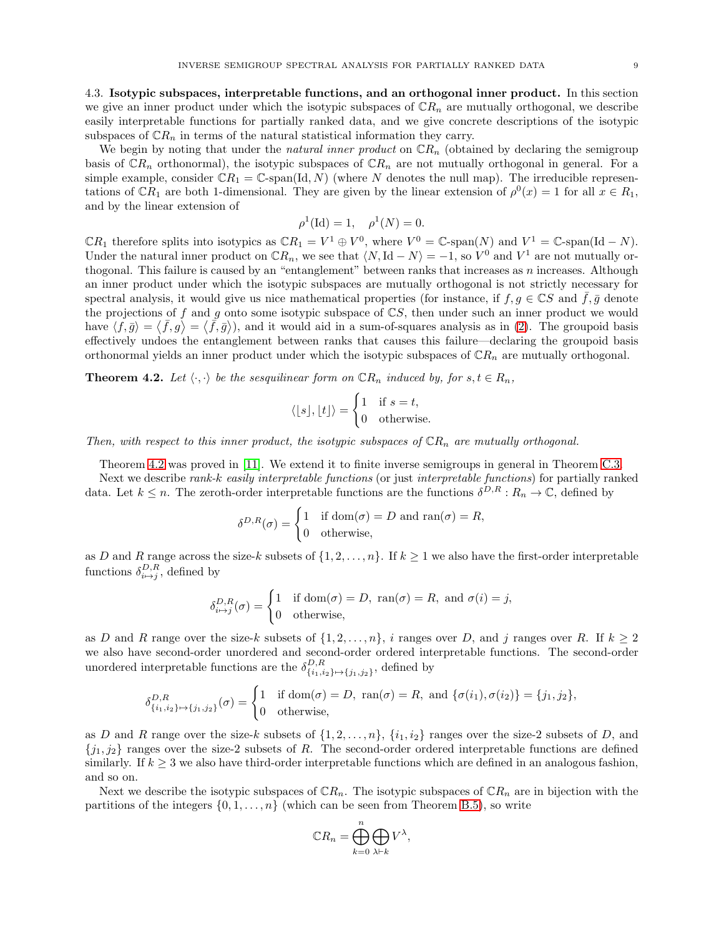<span id="page-8-0"></span>4.3. Isotypic subspaces, interpretable functions, and an orthogonal inner product. In this section we give an inner product under which the isotypic subspaces of  $\mathbb{C}R_n$  are mutually orthogonal, we describe easily interpretable functions for partially ranked data, and we give concrete descriptions of the isotypic subspaces of  $\mathbb{C}R_n$  in terms of the natural statistical information they carry.

We begin by noting that under the *natural inner product* on  $\mathbb{C}R_n$  (obtained by declaring the semigroup basis of  $\mathbb{C}R_n$  orthonormal), the isotypic subspaces of  $\mathbb{C}R_n$  are not mutually orthogonal in general. For a simple example, consider  $\mathbb{C}R_1 = \mathbb{C}$ -span(Id, N) (where N denotes the null map). The irreducible representations of  $\mathbb{C}R_1$  are both 1-dimensional. They are given by the linear extension of  $\rho^0(x) = 1$  for all  $x \in R_1$ , and by the linear extension of

$$
\rho^1(\text{Id}) = 1, \quad \rho^1(N) = 0.
$$

 $\mathbb{C}R_1$  therefore splits into isotypics as  $\mathbb{C}R_1 = V^1 \oplus V^0$ , where  $V^0 = \mathbb{C}$ -span $(N)$  and  $V^1 = \mathbb{C}$ -span $(\text{Id} - N)$ . Under the natural inner product on  $\mathbb{C}R_n$ , we see that  $\langle N,\mathrm{Id} - N \rangle = -1$ , so  $V^0$  and  $V^1$  are not mutually orthogonal. This failure is caused by an "entanglement" between ranks that increases as  $n$  increases. Although an inner product under which the isotypic subspaces are mutually orthogonal is not strictly necessary for spectral analysis, it would give us nice mathematical properties (for instance, if  $f, g \in \mathbb{C}S$  and  $\bar{f}, \bar{g}$  denote the projections of f and g onto some isotypic subspace of  $\mathbb{C}S$ , then under such an inner product we would have  $\langle f, \bar{g}\rangle = \langle \bar{f}, g\rangle = \langle \bar{f}, \bar{g}\rangle$ , and it would aid in a sum-of-squares analysis as in [\(2\)](#page-5-0). The groupoid basis effectively undoes the entanglement between ranks that causes this failure—declaring the groupoid basis orthonormal yields an inner product under which the isotypic subspaces of  $\mathbb{C}R_n$  are mutually orthogonal.

<span id="page-8-1"></span>**Theorem 4.2.** Let  $\langle \cdot, \cdot \rangle$  be the sesquilinear form on  $\mathbb{C}R_n$  induced by, for  $s, t \in R_n$ ,

$$
\langle \lfloor s \rfloor, \lfloor t \rfloor \rangle = \begin{cases} 1 & \text{if } s = t, \\ 0 & \text{otherwise.} \end{cases}
$$

Then, with respect to this inner product, the isotypic subspaces of  $\mathbb{C}R_n$  are mutually orthogonal.

Theorem [4.2](#page-8-1) was proved in [\[11\]](#page-24-2). We extend it to finite inverse semigroups in general in Theorem [C.3.](#page-22-0)

Next we describe rank-k easily interpretable functions (or just interpretable functions) for partially ranked data. Let  $k \leq n$ . The zeroth-order interpretable functions are the functions  $\delta^{D,R}: R_n \to \mathbb{C}$ , defined by

$$
\delta^{D,R}(\sigma) = \begin{cases} 1 & \text{if } \text{dom}(\sigma) = D \text{ and } \text{ran}(\sigma) = R, \\ 0 & \text{otherwise,} \end{cases}
$$

as D and R range across the size-k subsets of  $\{1, 2, ..., n\}$ . If  $k \geq 1$  we also have the first-order interpretable functions  $\delta_{i\mapsto j}^{D,R}$ , defined by

$$
\delta_{i \mapsto j}^{D,R}(\sigma) = \begin{cases} 1 & \text{if } \text{dom}(\sigma) = D, \text{ ran}(\sigma) = R, \text{ and } \sigma(i) = j, \\ 0 & \text{otherwise,} \end{cases}
$$

as D and R range over the size-k subsets of  $\{1, 2, \ldots, n\}$ , i ranges over D, and j ranges over R. If  $k \geq 2$ we also have second-order unordered and second-order ordered interpretable functions. The second-order unordered interpretable functions are the  $\delta_{f_{i,j}}^{D,R}$  $\{i_1,i_2\} \mapsto \{j_1,j_2\}$ , defined by

$$
\delta_{\{i_1, i_2\} \mapsto \{j_1, j_2\}}^{D,R}(\sigma) = \begin{cases} 1 & \text{if } \text{dom}(\sigma) = D, \text{ ran}(\sigma) = R, \text{ and } \{\sigma(i_1), \sigma(i_2)\} = \{j_1, j_2\}, \\ 0 & \text{otherwise}, \end{cases}
$$

as D and R range over the size-k subsets of  $\{1, 2, \ldots, n\}$ ,  $\{i_1, i_2\}$  ranges over the size-2 subsets of D, and  ${j_1, j_2}$  ranges over the size-2 subsets of R. The second-order ordered interpretable functions are defined similarly. If  $k \geq 3$  we also have third-order interpretable functions which are defined in an analogous fashion, and so on.

Next we describe the isotypic subspaces of  $\mathbb{C}R_n$ . The isotypic subspaces of  $\mathbb{C}R_n$  are in bijection with the partitions of the integers  $\{0, 1, \ldots, n\}$  (which can be seen from Theorem [B.5\)](#page-18-0), so write

$$
\mathbb{C}R_n = \bigoplus_{k=0}^n \bigoplus_{\lambda \vdash k} V^{\lambda},
$$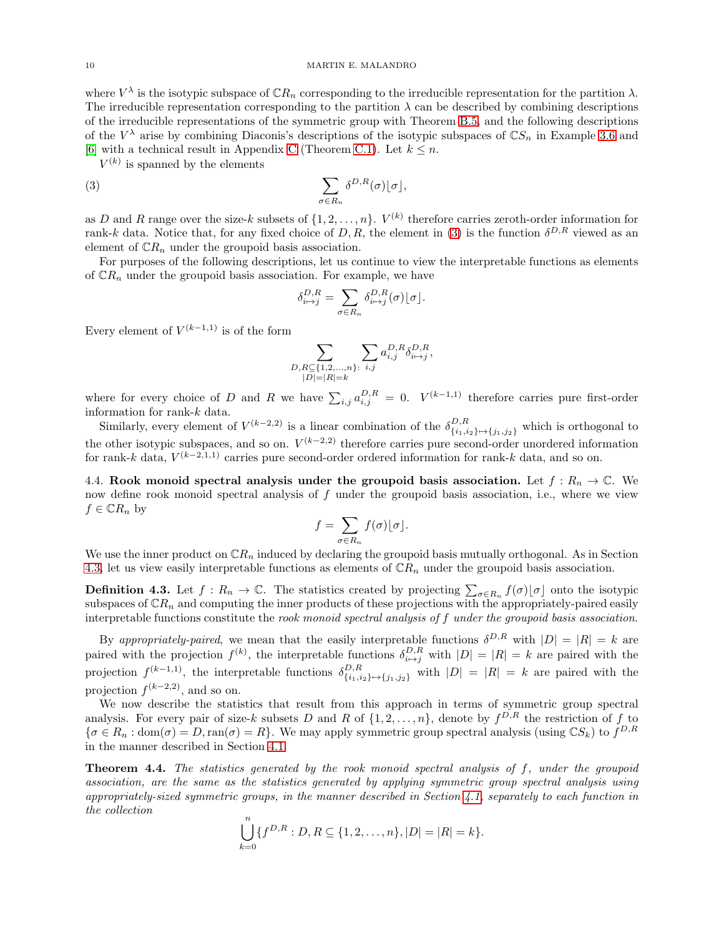where  $V^{\lambda}$  is the isotypic subspace of  $\mathbb{C}R_n$  corresponding to the irreducible representation for the partition  $\lambda$ . The irreducible representation corresponding to the partition  $\lambda$  can be described by combining descriptions of the irreducible representations of the symmetric group with Theorem [B.5,](#page-18-0) and the following descriptions of the  $V^{\lambda}$  arise by combining Diaconis's descriptions of the isotypic subspaces of  $\mathbb{C}S_n$  in Example [3.6](#page-4-0) and [\[6\]](#page-23-0) with a technical result in Appendix [C](#page-19-0) (Theorem [C.1\)](#page-20-0). Let  $k \leq n$ .

 $V^{(k)}$  is spanned by the elements

(3) 
$$
\sum_{\sigma \in R_n} \delta^{D,R}(\sigma) \lfloor \sigma \rfloor,
$$

as D and R range over the size-k subsets of  $\{1, 2, ..., n\}$ .  $V^{(k)}$  therefore carries zeroth-order information for rank-k data. Notice that, for any fixed choice of D, R, the element in [\(3\)](#page-9-2) is the function  $\delta^{D,R}$  viewed as an element of  $\mathbb{C}R_n$  under the groupoid basis association.

For purposes of the following descriptions, let us continue to view the interpretable functions as elements of  $\mathbb{C}R_n$  under the groupoid basis association. For example, we have

<span id="page-9-2"></span>
$$
\delta^{D,R}_{i\mapsto j}=\sum_{\sigma\in R_n}\delta^{D,R}_{i\mapsto j}(\sigma)\lfloor\sigma\rfloor.
$$

Every element of  $V^{(k-1,1)}$  is of the form

$$
\sum_{\substack{D,R \subseteq \{1,2,\ldots,n\}: \\ |D| = |R| = k}} \sum_{i,j} a_{i,j}^{D,R} \delta_{i \mapsto j}^{D,R},
$$

where for every choice of D and R we have  $\sum_{i,j} a_{i,j}^{D,R} = 0$ .  $V^{(k-1,1)}$  therefore carries pure first-order information for rank- $k$  data.

Similarly, every element of  $V^{(k-2,2)}$  is a linear combination of the  $\delta^{D,R}_{\{i_1,i_2\}\rightarrow\{j_1,j_2\}}$  which is orthogonal to the other isotypic subspaces, and so on.  $V^{(k-2,2)}$  therefore carries pure second-order unordered information for rank-k data,  $V^{(k-2,1,1)}$  carries pure second-order ordered information for rank-k data, and so on.

<span id="page-9-1"></span>4.4. Rook monoid spectral analysis under the groupoid basis association. Let  $f: R_n \to \mathbb{C}$ . We now define rook monoid spectral analysis of f under the groupoid basis association, i.e., where we view  $f \in \mathbb{C} R_n$  by

$$
f = \sum_{\sigma \in R_n} f(\sigma) \lfloor \sigma \rfloor.
$$

We use the inner product on  $\mathbb{C}R_n$  induced by declaring the groupoid basis mutually orthogonal. As in Section [4.3,](#page-8-0) let us view easily interpretable functions as elements of  $\mathbb{C}R_n$  under the groupoid basis association.

**Definition 4.3.** Let  $f: R_n \to \mathbb{C}$ . The statistics created by projecting  $\sum_{\sigma \in R_n} f(\sigma) [\sigma]$  onto the isotypic subspaces of  $\mathbb{C}R_n$  and computing the inner products of these projections with the appropriately-paired easily interpretable functions constitute the rook monoid spectral analysis of f under the groupoid basis association.

By appropriately-paired, we mean that the easily interpretable functions  $\delta^{D,R}$  with  $|D| = |R| = k$  are paired with the projection  $f^{(k)}$ , the interpretable functions  $\delta_{i\mapsto j}^{D,R}$  with  $|D| = |R| = k$  are paired with the projection  $f^{(k-1,1)}$ , the interpretable functions  $\delta^{D,R}_{\{i_1,i_2\}\rightarrow\{j_1,j_2\}}$  with  $|D| = |R| = k$  are paired with the projection  $f^{(k-2,2)}$ , and so on.

We now describe the statistics that result from this approach in terms of symmetric group spectral analysis. For every pair of size-k subsets D and R of  $\{1, 2, ..., n\}$ , denote by  $f^{D,R}$  the restriction of f to  ${\sigma \in R_n : \text{dom}(\sigma) = D, \text{ran}(\sigma) = R}.$  We may apply symmetric group spectral analysis (using  $\mathbb{C}S_k$ ) to  $f^{D,R}$ in the manner described in Section [4.1.](#page-6-1)

<span id="page-9-0"></span>Theorem 4.4. The statistics generated by the rook monoid spectral analysis of f, under the groupoid association, are the same as the statistics generated by applying symmetric group spectral analysis using appropriately-sized symmetric groups, in the manner described in Section [4.1,](#page-6-1) separately to each function in the collection

$$
\bigcup_{k=0}^n \{f^{D,R}: D, R \subseteq \{1,2,\ldots,n\}, |D| = |R| = k\}.
$$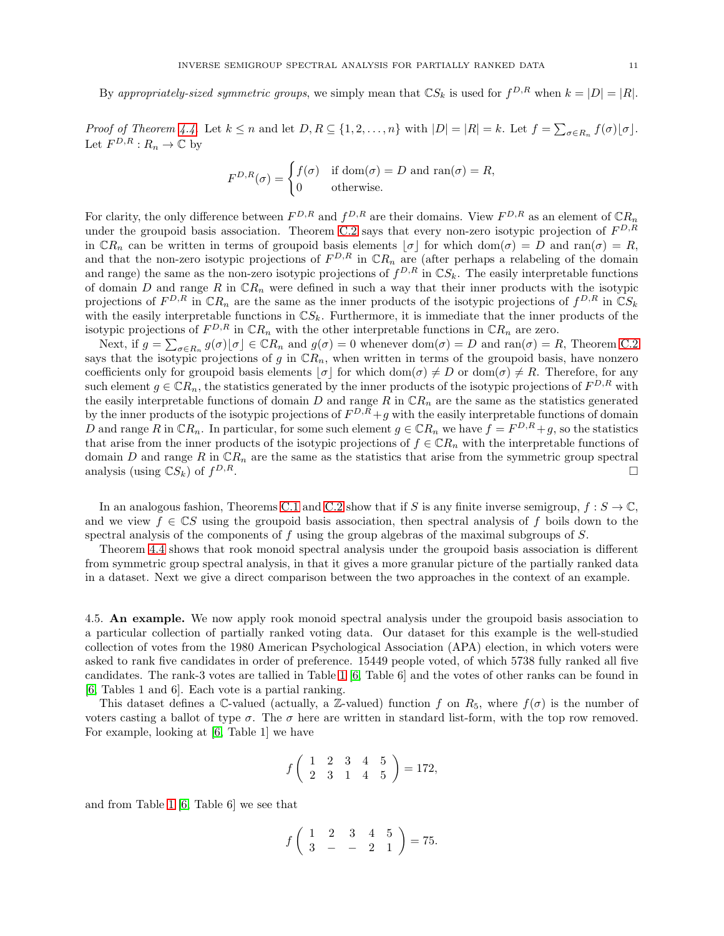By appropriately-sized symmetric groups, we simply mean that  $\mathbb{C}S_k$  is used for  $f^{D,R}$  when  $k = |D| = |R|$ .

Proof of Theorem [4.4.](#page-9-0) Let  $k \le n$  and let  $D, R \subseteq \{1, 2, \ldots, n\}$  with  $|D| = |R| = k$ . Let  $f = \sum_{\sigma \in R_n} f(\sigma) \lfloor \sigma \rfloor$ . Let  $F^{D,R}: R_n \to \mathbb{C}$  by

$$
F^{D,R}(\sigma) = \begin{cases} f(\sigma) & \text{if } \text{dom}(\sigma) = D \text{ and } \text{ran}(\sigma) = R, \\ 0 & \text{otherwise.} \end{cases}
$$

For clarity, the only difference between  $F^{D,R}$  and  $f^{D,R}$  are their domains. View  $F^{D,R}$  as an element of  $\mathbb{C}R_n$ under the groupoid basis association. Theorem [C.2](#page-21-0) says that every non-zero isotypic projection of  $F^{D,R}$ in  $\mathbb{C}R_n$  can be written in terms of groupoid basis elements  $|\sigma|$  for which dom $(\sigma) = D$  and ran $(\sigma) = R$ , and that the non-zero isotypic projections of  $F^{D,R}$  in  $\mathbb{C}R_n$  are (after perhaps a relabeling of the domain and range) the same as the non-zero isotypic projections of  $f^{D,R}$  in  $\mathbb{C}S_k$ . The easily interpretable functions of domain D and range R in  $\mathbb{C}R_n$  were defined in such a way that their inner products with the isotypic projections of  $F^{D,R}$  in  $\mathbb{C}R_n$  are the same as the inner products of the isotypic projections of  $f^{D,R}$  in  $\mathbb{C}S_k$ with the easily interpretable functions in  $\mathbb{C}S_k$ . Furthermore, it is immediate that the inner products of the isotypic projections of  $F^{D,R}$  in  $\mathbb{C}R_n$  with the other interpretable functions in  $\mathbb{C}R_n$  are zero.

Next, if  $g = \sum_{\sigma \in R_n} g(\sigma) \lfloor \sigma \rfloor \in \mathbb{C}R_n$  and  $g(\sigma) = 0$  whenever  $\text{dom}(\sigma) = D$  and  $\text{ran}(\sigma) = R$ , Theorem [C.2](#page-21-0) says that the isotypic projections of g in  $\mathbb{C}R_n$ , when written in terms of the groupoid basis, have nonzero coefficients only for groupoid basis elements  $|\sigma|$  for which  $\text{dom}(\sigma) \neq D$  or  $\text{dom}(\sigma) \neq R$ . Therefore, for any such element  $g \in \mathbb{C}R_n$ , the statistics generated by the inner products of the isotypic projections of  $F^{D,R}$  with the easily interpretable functions of domain  $D$  and range  $R$  in  $\mathbb{C}R_n$  are the same as the statistics generated by the inner products of the isotypic projections of  $F^{D,R} + g$  with the easily interpretable functions of domain D and range R in  $\mathbb{C}R_n$ . In particular, for some such element  $g \in \mathbb{C}R_n$  we have  $f = F^{D,R} + g$ , so the statistics that arise from the inner products of the isotypic projections of  $f \in \mathbb{C}R_n$  with the interpretable functions of domain D and range R in  $\mathbb{C}R_n$  are the same as the statistics that arise from the symmetric group spectral analysis (using  $\mathbb{C}S_k$ ) of  $f^{D,R}$ .  $D,R$ .

In an analogous fashion, Theorems [C.1](#page-20-0) and [C.2](#page-21-0) show that if S is any finite inverse semigroup,  $f : S \to \mathbb{C}$ , and we view  $f \in \mathbb{C}S$  using the groupoid basis association, then spectral analysis of f boils down to the spectral analysis of the components of f using the group algebras of the maximal subgroups of  $S$ .

Theorem [4.4](#page-9-0) shows that rook monoid spectral analysis under the groupoid basis association is different from symmetric group spectral analysis, in that it gives a more granular picture of the partially ranked data in a dataset. Next we give a direct comparison between the two approaches in the context of an example.

<span id="page-10-0"></span>4.5. An example. We now apply rook monoid spectral analysis under the groupoid basis association to a particular collection of partially ranked voting data. Our dataset for this example is the well-studied collection of votes from the 1980 American Psychological Association (APA) election, in which voters were asked to rank five candidates in order of preference. 15449 people voted, of which 5738 fully ranked all five candidates. The rank-3 votes are tallied in Table [1](#page-11-0) [\[6,](#page-23-0) Table 6] and the votes of other ranks can be found in [\[6,](#page-23-0) Tables 1 and 6]. Each vote is a partial ranking.

This dataset defines a C-valued (actually, a Z-valued) function f on  $R_5$ , where  $f(\sigma)$  is the number of voters casting a ballot of type  $\sigma$ . The  $\sigma$  here are written in standard list-form, with the top row removed. For example, looking at [\[6,](#page-23-0) Table 1] we have

$$
f\left(\begin{array}{rrr} 1 & 2 & 3 & 4 & 5 \\ 2 & 3 & 1 & 4 & 5 \end{array}\right) = 172,
$$

and from Table [1](#page-11-0) [\[6,](#page-23-0) Table 6] we see that

$$
f\left(\begin{array}{cccc} 1 & 2 & 3 & 4 & 5 \\ 3 & - & - & 2 & 1 \end{array}\right) = 75.
$$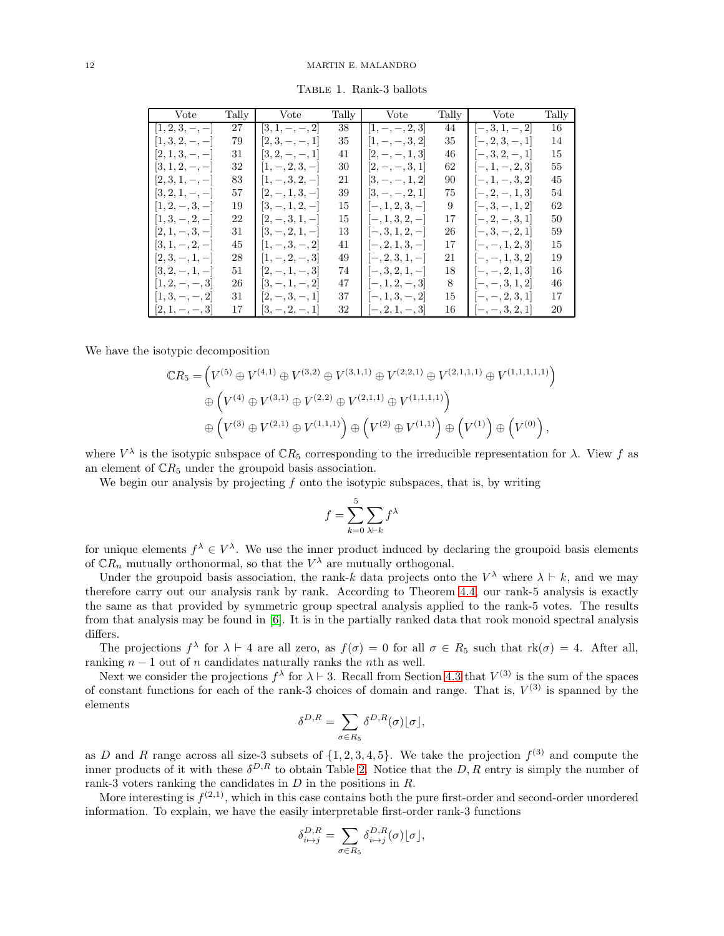| Vote              | Tally | Vote               | Tally | Vote              | Tally | Vote              | Tally |
|-------------------|-------|--------------------|-------|-------------------|-------|-------------------|-------|
| $[1, 2, 3, -, -]$ | 27    | $ 3, 1, -, -, 2 $  | 38    | $[1, -, -, 2, 3]$ | 44    | $[-,3,1,-,2]$     | 16    |
| $[1,3,2,-,-]$     | 79    | $ 2,3,-,-,1 $      | 35    | $ 1, -, -, 3, 2 $ | 35    | $[-, 2, 3, -, 1]$ | 14    |
| $ 2, 1, 3, -,- $  | 31    | $ 3, 2, -, -, 1 $  | 41    | $ 2,-,-,1,3 $     | 46    | $[-, 3, 2, -, 1]$ | 15    |
| $ 3, 1, 2, -,- $  | 32    | $ 1, -2, 3, - $    | 30    | $ 2,-,-,3,1 $     | 62    | $[-,1,-,2,3]$     | 55    |
| $[2,3,1,-,-]$     | 83    | $[1, -3, 2, -]$    | 21    | $[3, -, -, 1, 2]$ | 90    | $[-,1,-,3,2]$     | 45    |
| $[3, 2, 1, -, -]$ | 57    | $[2, -1, 3, -]$    | 39    | $ 3, -, -, 2, 1 $ | 75    | $[-, 2, -, 1, 3]$ | 54    |
| $[1, 2, -, 3, -]$ | 19    | $ 3, -1, 2, - $    | 15    | $[-,1,2,3,-]$     | 9     | $[-,3,-,1,2]$     | 62    |
| $ 1,3,-,2,- $     | 22    | $ 2, -3, 1, - $    | 15    | $[-,1,3,2,-]$     | 17    | $[-, 2, -, 3, 1]$ | 50    |
| $[2, 1, -, 3, -]$ | 31    | $[3, -1, 2, 1, -]$ | 13    | $[-, 3, 1, 2, -]$ | 26    | $[-,3,-,2,1]$     | 59    |
| $[3, 1, -, 2, -]$ | 45    | $[1, -3, -2]$      | 41    | $[-, 2, 1, 3, -]$ | 17    | $[-, -, 1, 2, 3]$ | 15    |
| $ 2,3,-,1,- $     | 28    | $ 1, -2, -3 $      | 49    | $[-, 2, 3, 1, -]$ | 21    | $[-, -, 1, 3, 2]$ | 19    |
| $ 3, 2, -, 1, - $ | 51    | $[2, -1, -3]$      | 74    | $[-, 3, 2, 1, -]$ | 18    | $[-, -, 2, 1, 3]$ | 16    |
| $[1, 2, -, -, 3]$ | 26    | $ 3, -1, 1, -2 $   | 47    | $[-,1,2,-,3]$     | 8     | $[-, -, 3, 1, 2]$ | 46    |
| $[1, 3, -, -, 2]$ | 31    | $[2, -3, -1]$      | 37    | $[-,1,3,-,2]$     | 15    | $[-, -, 2, 3, 1]$ | 17    |
| $ 2, 1, -, -, 3 $ | 17    | $ 3, -1, 2, -1 $   | 32    | $[-, 2, 1, -, 3]$ | 16    | $[-, -, 3, 2, 1]$ | 20    |

<span id="page-11-0"></span>Table 1. Rank-3 ballots

We have the isotypic decomposition

$$
\mathbb{C}R_5 = \left(V^{(5)} \oplus V^{(4,1)} \oplus V^{(3,2)} \oplus V^{(3,1,1)} \oplus V^{(2,2,1)} \oplus V^{(2,1,1,1)} \oplus V^{(1,1,1,1,1)}\right) \n\oplus \left(V^{(4)} \oplus V^{(3,1)} \oplus V^{(2,2)} \oplus V^{(2,1,1)} \oplus V^{(1,1,1,1)}\right) \n\oplus \left(V^{(3)} \oplus V^{(2,1)} \oplus V^{(1,1,1)}\right) \oplus \left(V^{(2)} \oplus V^{(1,1)}\right) \oplus \left(V^{(1)}\right) \oplus \left(V^{(0)}\right),
$$

where  $V^{\lambda}$  is the isotypic subspace of  $\mathbb{C}R_5$  corresponding to the irreducible representation for  $\lambda$ . View f as an element of  $\mathbb{C}R_5$  under the groupoid basis association.

We begin our analysis by projecting  $f$  onto the isotypic subspaces, that is, by writing

$$
f = \sum_{k=0}^{5} \sum_{\lambda \vdash k} f^{\lambda}
$$

for unique elements  $f^{\lambda} \in V^{\lambda}$ . We use the inner product induced by declaring the groupoid basis elements of  $\mathbb{C}R_n$  mutually orthonormal, so that the  $V^{\lambda}$  are mutually orthogonal.

Under the groupoid basis association, the rank-k data projects onto the  $V^{\lambda}$  where  $\lambda \vdash k$ , and we may therefore carry out our analysis rank by rank. According to Theorem [4.4,](#page-9-0) our rank-5 analysis is exactly the same as that provided by symmetric group spectral analysis applied to the rank-5 votes. The results from that analysis may be found in [\[6\]](#page-23-0). It is in the partially ranked data that rook monoid spectral analysis differs.

The projections  $f^{\lambda}$  for  $\lambda \vdash 4$  are all zero, as  $f(\sigma) = 0$  for all  $\sigma \in R_5$  such that  $rk(\sigma) = 4$ . After all, ranking  $n - 1$  out of n candidates naturally ranks the nth as well.

Next we consider the projections  $f^{\lambda}$  for  $\lambda \vdash 3$ . Recall from Section [4.3](#page-8-0) that  $V^{(3)}$  is the sum of the spaces of constant functions for each of the rank-3 choices of domain and range. That is,  $V^{(3)}$  is spanned by the elements

$$
\delta^{D,R} = \sum_{\sigma \in R_5} \delta^{D,R}(\sigma) \lfloor \sigma \rfloor,
$$

as D and R range across all size-3 subsets of  $\{1, 2, 3, 4, 5\}$ . We take the projection  $f^{(3)}$  and compute the inner products of it with these  $\delta^{D,R}$  to obtain Table [2.](#page-12-0) Notice that the D, R entry is simply the number of rank-3 voters ranking the candidates in  $D$  in the positions in  $R$ .

More interesting is  $f^{(2,1)}$ , which in this case contains both the pure first-order and second-order unordered information. To explain, we have the easily interpretable first-order rank-3 functions

$$
\delta^{D,R}_{i\mapsto j}=\sum_{\sigma\in R_5}\delta^{D,R}_{i\mapsto j}(\sigma)\lfloor\sigma\rfloor,
$$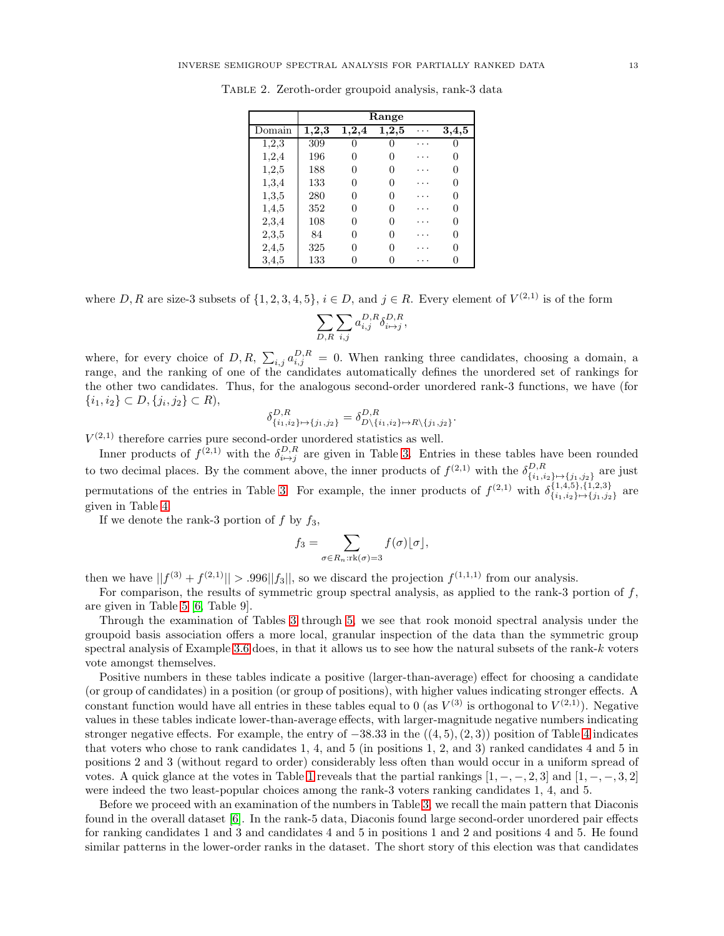<span id="page-12-0"></span>

|        | Range |       |              |  |          |  |  |  |  |
|--------|-------|-------|--------------|--|----------|--|--|--|--|
| Domain | 1,2,3 | 1,2,4 | 1, 2, 5      |  | 3,4,5    |  |  |  |  |
| 1,2,3  | 309   |       |              |  | $\theta$ |  |  |  |  |
| 1,2,4  | 196   | 0     |              |  | 0        |  |  |  |  |
| 1,2,5  | 188   | 0     |              |  | 0        |  |  |  |  |
| 1,3,4  | 133   | 0     | $\theta$     |  | 0        |  |  |  |  |
| 1,3,5  | 280   | 0     | $\theta$     |  | 0        |  |  |  |  |
| 1,4,5  | 352   | 0     | $\mathbf{0}$ |  | 0        |  |  |  |  |
| 2,3,4  | 108   | 0     | 0            |  | 0        |  |  |  |  |
| 2,3,5  | 84    | 0     | 0            |  | 0        |  |  |  |  |
| 2,4,5  | 325   | 0     | O            |  | 0        |  |  |  |  |
| 3,4,5  | 133   |       |              |  |          |  |  |  |  |

Table 2. Zeroth-order groupoid analysis, rank-3 data

where D, R are size-3 subsets of  $\{1, 2, 3, 4, 5\}$ ,  $i \in D$ , and  $j \in R$ . Every element of  $V^{(2,1)}$  is of the form

$$
\sum_{D,R}\sum_{i,j}a_{i,j}^{D,R}\delta_{i\mapsto j}^{D,R}
$$

,

where, for every choice of D, R,  $\sum_{i,j} a_{i,j}^{D,R} = 0$ . When ranking three candidates, choosing a domain, a range, and the ranking of one of the candidates automatically defines the unordered set of rankings for the other two candidates. Thus, for the analogous second-order unordered rank-3 functions, we have (for  $\{i_1, i_2\} \subset D, \{j_i, j_2\} \subset R$ ),

$$
\delta^{D,R}_{\{i_1,i_2\}\mapsto\{j_1,j_2\}} = \delta^{D,R}_{D\setminus\{i_1,i_2\}\mapsto R\setminus\{j_1,j_2\}}.
$$

 $V^{(2,1)}$  therefore carries pure second-order unordered statistics as well.

Inner products of  $f^{(2,1)}$  with the  $\delta_{i\mapsto j}^{D,R}$  are given in Table [3.](#page-13-0) Entries in these tables have been rounded to two decimal places. By the comment above, the inner products of  $f^{(2,1)}$  with the  $\delta_{l,i,j}^{D,R}$  $_{i_{1},i_{2}\}\mapsto i_{j_{1},j_{2}}$  are just permutations of the entries in Table [3.](#page-13-0) For example, the inner products of  $f^{(2,1)}$  with  $\delta^{(1,4,5)}_{\{i_1,i_2\}\}\$  $\{i_1,i_2\} \mapsto \{j_1,j_2\}$  are given in Table [4.](#page-13-1)

If we denote the rank-3 portion of  $f$  by  $f_3$ ,

$$
f_3 = \sum_{\sigma \in R_n: \text{rk}(\sigma) = 3} f(\sigma) \lfloor \sigma \rfloor,
$$

then we have  $||f^{(3)} + f^{(2,1)}|| > .996||f_3||$ , so we discard the projection  $f^{(1,1,1)}$  from our analysis.

For comparison, the results of symmetric group spectral analysis, as applied to the rank-3 portion of  $f$ , are given in Table [5](#page-14-1) [\[6,](#page-23-0) Table 9].

Through the examination of Tables [3](#page-13-0) through [5,](#page-14-1) we see that rook monoid spectral analysis under the groupoid basis association offers a more local, granular inspection of the data than the symmetric group spectral analysis of Example [3.6](#page-4-0) does, in that it allows us to see how the natural subsets of the rank-k voters vote amongst themselves.

Positive numbers in these tables indicate a positive (larger-than-average) effect for choosing a candidate (or group of candidates) in a position (or group of positions), with higher values indicating stronger effects. A constant function would have all entries in these tables equal to 0 (as  $V^{(3)}$  is orthogonal to  $V^{(2,1)}$ ). Negative values in these tables indicate lower-than-average effects, with larger-magnitude negative numbers indicating stronger negative effects. For example, the entry of  $-38.33$  in the  $((4, 5), (2, 3))$  position of Table [4](#page-13-1) indicates that voters who chose to rank candidates 1, 4, and 5 (in positions 1, 2, and 3) ranked candidates 4 and 5 in positions 2 and 3 (without regard to order) considerably less often than would occur in a uniform spread of votes. A quick glance at the votes in Table [1](#page-11-0) reveals that the partial rankings  $[1, -, -, 2, 3]$  and  $[1, -, -, 3, 2]$ were indeed the two least-popular choices among the rank-3 voters ranking candidates 1, 4, and 5.

Before we proceed with an examination of the numbers in Table [3,](#page-13-0) we recall the main pattern that Diaconis found in the overall dataset [\[6\]](#page-23-0). In the rank-5 data, Diaconis found large second-order unordered pair effects for ranking candidates 1 and 3 and candidates 4 and 5 in positions 1 and 2 and positions 4 and 5. He found similar patterns in the lower-order ranks in the dataset. The short story of this election was that candidates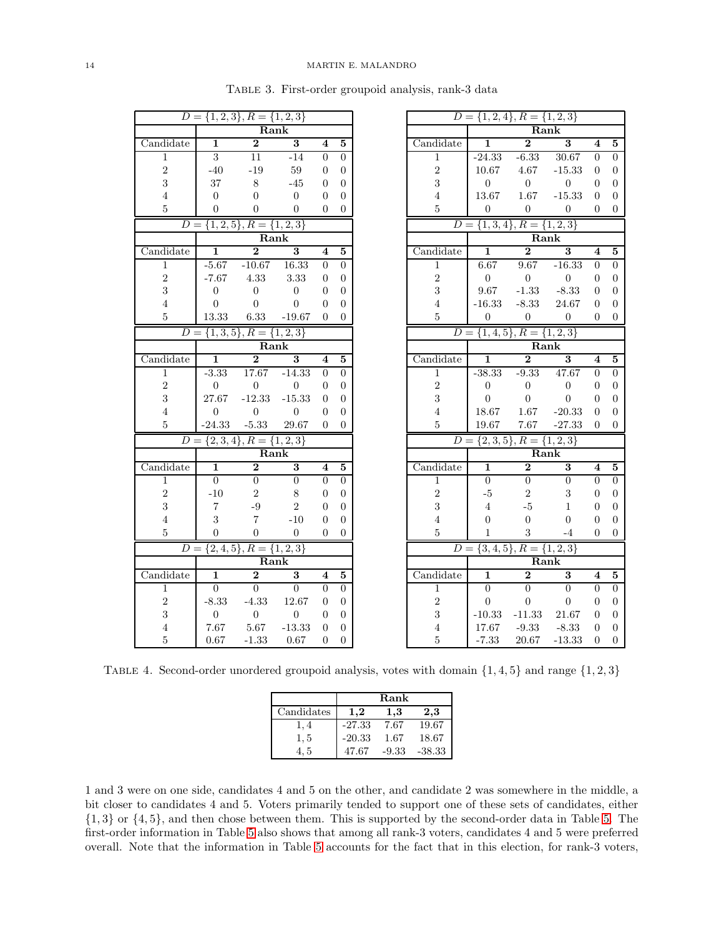| $D = \{1, 2, 3\}, R = \{1, 2, 3\}$          |                  |                                    |                         |                            | $D = \{1, 2, 4\}, R = \{1, 2, 3\}$ |                                    |                                    |                            |                          |                              |                            |
|---------------------------------------------|------------------|------------------------------------|-------------------------|----------------------------|------------------------------------|------------------------------------|------------------------------------|----------------------------|--------------------------|------------------------------|----------------------------|
|                                             |                  | Rank                               |                         |                            |                                    |                                    |                                    |                            | Rank                     |                              |                            |
| $Cand i$                                    | $\overline{1}$   | $\overline{2}$                     | $\overline{\mathbf{3}}$ | $\overline{\mathbf{4}}$    | $\overline{5}$                     | Candidate                          | $\overline{1}$                     | $\overline{2}$             | $\overline{\mathbf{3}}$  | $\overline{\mathbf{4}}$      | ${\bf 5}$                  |
| $\mathbf{1}$                                | $\overline{3}$   | 11                                 | $-14$                   | $\Omega$                   | $\overline{0}$                     | $\overline{1}$                     | $-24.33$                           | $-6.33$                    | 30.67                    | $\overline{0}$               | $\overline{0}$             |
| $\sqrt{2}$                                  | $-40$            | $-19$                              | $59\,$                  | $\overline{0}$             | $\overline{0}$                     | $\overline{2}$                     | $10.67\,$                          | $4.67\,$                   | $-15.33$                 | $\boldsymbol{0}$             | $\overline{0}$             |
| 3                                           | 37               | 8                                  | $-45$                   | 0                          | $\overline{0}$                     | 3                                  | $\overline{0}$                     | $\overline{0}$             | $\boldsymbol{0}$         | $\overline{0}$               | $\Omega$                   |
| $\overline{4}$                              | $\overline{0}$   | $\overline{0}$                     | $\overline{0}$          | $\overline{0}$             | $\overline{0}$                     | $\overline{4}$                     | 13.67                              | 1.67                       | $-15.33$                 | $\overline{0}$               | $\Omega$                   |
| $\overline{5}$                              | $\Omega$         | 0                                  | $\overline{0}$          | $\Omega$                   | $\overline{0}$                     | $\overline{5}$                     | $\overline{0}$                     | $\boldsymbol{0}$           | $\boldsymbol{0}$         | $\theta$                     | $\Omega$                   |
|                                             |                  | $D = \{1, 2, 5\}, R = \{1, 2, 3\}$ |                         |                            |                                    |                                    | $D = \{1, 3, 4\}, R = \{1, 2, 3\}$ |                            |                          |                              |                            |
|                                             |                  | Rank                               |                         |                            |                                    |                                    |                                    | Rank                       |                          |                              |                            |
| Candidate                                   | $\mathbf{1}$     | $\overline{2}$                     | $\overline{\mathbf{3}}$ | $\overline{\mathbf{4}}$    | $\overline{5}$                     | Candidate                          | $\overline{1}$                     | $\overline{2}$             | $\overline{\mathbf{3}}$  | $\overline{\mathbf{4}}$      | $\overline{\mathbf{5}}$    |
| $\mathbf{1}$                                | $-5.67$          | $-10.67$                           | 16.33                   | $\Omega$                   | $\overline{0}$                     | $\mathbf{1}$                       | 6.67                               | 9.67                       | $-16.33$                 | $\overline{0}$               | $\overline{0}$             |
| $\sqrt{2}$                                  | $-7.67$          | 4.33                               | 3.33                    | $\overline{0}$             | $\overline{0}$                     | $\overline{2}$                     | $\overline{0}$                     | $\overline{0}$             | $\overline{0}$           | $\mathbf{0}$                 | $\Omega$                   |
| 3                                           | $\boldsymbol{0}$ | $\boldsymbol{0}$                   | $\boldsymbol{0}$        | $\overline{0}$             | $\overline{0}$                     | $\overline{3}$                     | $9.67\,$                           | $-1.33$                    | $-8.33$                  | $\boldsymbol{0}$             | $\overline{0}$             |
| $\overline{4}$                              | $\boldsymbol{0}$ | $\overline{0}$                     | $\overline{0}$          | $\Omega$                   | $\boldsymbol{0}$                   | $\overline{4}$                     | $-16.33$                           | $-8.33$                    | 24.67                    | $\boldsymbol{0}$             | $\overline{0}$             |
| $\overline{5}$                              | 13.33            | 6.33                               | $-19.67$                | $\Omega$                   | $\theta$                           | $\overline{5}$                     | $\overline{0}$                     | $\overline{0}$             | $\overline{0}$           | $\Omega$                     | $\Omega$                   |
|                                             |                  | $D = \{1, 3, 5\}, R = \{1, 2, 3\}$ |                         |                            |                                    |                                    | $D =$                              | $\{1,4,5\}, R = \{1,2,3\}$ |                          |                              |                            |
|                                             |                  | Rank                               |                         |                            |                                    |                                    |                                    | Rank                       |                          |                              |                            |
| Candidate                                   | $\overline{1}$   | $\overline{2}$                     | $\overline{\mathbf{3}}$ | $\overline{\mathbf{4}}$    | $\bf{5}$                           | Candidate                          | $\overline{1}$                     | $\overline{2}$             | $\overline{\mathbf{3}}$  | $\overline{\mathbf{4}}$      | $\bf{5}$                   |
| $\mathbf{1}$                                | $-3.33$          | 17.67                              | $-14.33$                | $\Omega$                   | $\overline{0}$                     | $\mathbf{1}$                       | $-38.33$                           | $-9.33$                    | 47.67                    | $\boldsymbol{0}$             | $\overline{0}$             |
| $\overline{2}$                              | $\boldsymbol{0}$ | $\boldsymbol{0}$                   | $\boldsymbol{0}$        | 0                          | $\overline{0}$                     | $\overline{2}$                     | $\boldsymbol{0}$                   | $\boldsymbol{0}$           | $\boldsymbol{0}$         | $\boldsymbol{0}$             | $\overline{0}$             |
| 3                                           | 27.67            | $-12.33$                           | $-15.33$                | $\overline{0}$             | $\overline{0}$                     | 3                                  | $\overline{0}$                     | $\overline{0}$             | $\overline{0}$           | $\overline{0}$               | $\Omega$                   |
| $\overline{4}$                              | $\overline{0}$   | $\overline{0}$                     | $\overline{0}$          | $\Omega$                   | $\overline{0}$                     | $\overline{4}$                     | 18.67                              | 1.67                       | $-20.33$                 | $\overline{0}$               | $\Omega$                   |
| $\overline{5}$                              | $-24.33$         | $-5.33$                            | 29.67                   | $\overline{0}$             | $\overline{0}$                     | $\bf 5$                            | 19.67                              | $7.67\,$                   | $-27.33$                 | $\theta$                     | $\Omega$                   |
|                                             |                  | $D = \{2, 3, 4\}, R = \{1, 2, 3\}$ |                         |                            |                                    |                                    | $D = \{2, 3, 5\}, R = \{1, 2, 3\}$ |                            |                          |                              |                            |
|                                             |                  | Rank                               |                         |                            |                                    |                                    |                                    |                            | Rank                     |                              |                            |
| Candidate                                   | $\mathbf{1}$     | $\overline{2}$                     | $\bf 3$                 | $\overline{\mathbf{4}}$    | ${\bf 5}$                          | Candidate                          | $\mathbf{1}$                       | $\overline{2}$             | $\bf{3}$                 | $\overline{\mathbf{4}}$      | $\bf 5$                    |
| 1                                           | $\overline{0}$   | $\overline{0}$                     | $\overline{0}$          | $\Omega$                   | $\overline{0}$                     | 1                                  | $\theta$                           | $\overline{0}$             | $\overline{0}$           | $\theta$                     | $\overline{0}$             |
| $\,2$                                       | $-10$            | $\overline{2}$                     | 8                       | 0                          | $\overline{0}$                     | $\sqrt{2}$                         | $-5$                               | $\sqrt{2}$                 | 3                        | $\boldsymbol{0}$             | $\overline{0}$             |
| 3<br>$\overline{4}$                         | $\,7$<br>3       | $-9$<br>$\overline{7}$             | $\overline{2}$          | $\Omega$<br>$\overline{0}$ | $\overline{0}$                     | 3<br>$\overline{4}$                | $\sqrt{4}$<br>$\overline{0}$       | $-5$<br>$\overline{0}$     | $\mathbf{1}$             | $\boldsymbol{0}$             | $\overline{0}$<br>$\theta$ |
| $\overline{5}$                              | $\Omega$         | $\Omega$                           | $-10$<br>$\Omega$       | $\Omega$                   | $\overline{0}$<br>$\overline{0}$   | $\overline{5}$                     | $\mathbf{1}$                       | 3                          | $\boldsymbol{0}$<br>$-4$ | $\boldsymbol{0}$<br>$\theta$ | $\Omega$                   |
|                                             |                  |                                    |                         |                            |                                    |                                    |                                    |                            |                          |                              |                            |
| $\{2,4,5\}, R = \{1,2,3\}$<br>$D =$<br>Rank |                  |                                    |                         |                            | $D =$                              | $\{3,4,5\}, R = \{1,2,3\}$<br>Rank |                                    |                            |                          |                              |                            |
| Candidate                                   | $\mathbf 1$      | $\overline{2}$                     | 3                       | 4                          | 5                                  | Candidate                          | $\mathbf{1}$                       | $\overline{2}$             | 3                        |                              | 5                          |
| $\mathbf{1}$                                | $\overline{0}$   | $\overline{0}$                     | $\overline{0}$          | $\theta$                   | $\overline{0}$                     | $\mathbf{1}$                       | $\overline{0}$                     | $\overline{0}$             | $\overline{0}$           | 4<br>$\overline{0}$          | $\overline{0}$             |
| $\sqrt{2}$                                  | $-8.33$          | $-4.33$                            | 12.67                   | $\overline{0}$             | $\overline{0}$                     | $\overline{2}$                     | $\overline{0}$                     | $\overline{0}$             | $\boldsymbol{0}$         | $\boldsymbol{0}$             | $\overline{0}$             |
| 3                                           | $\overline{0}$   | $\boldsymbol{0}$                   | $\overline{0}$          | $\Omega$                   | $\overline{0}$                     | 3                                  | $-10.33$                           | $-11.33$                   | 21.67                    | $\overline{0}$               | $\Omega$                   |
| 4                                           | 7.67             | 5.67                               | $-13.33$                | $\overline{0}$             | $\overline{0}$                     | $\overline{4}$                     | 17.67                              | $\textbf{-9.33}$           | $-8.33$                  | 0                            | 0                          |
| 5                                           | 0.67             | $-1.33$                            | $\rm 0.67$              | 0                          | $\overline{0}$                     | 5                                  | $-7.33$                            | $20.67\,$                  | $-13.33$                 | $\overline{0}$               | $\overline{0}$             |
|                                             |                  |                                    |                         |                            |                                    |                                    |                                    |                            |                          |                              |                            |

<span id="page-13-0"></span>Table 3. First-order groupoid analysis, rank-3 data

<span id="page-13-1"></span>TABLE 4. Second-order unordered groupoid analysis, votes with domain  $\{1, 4, 5\}$  and range  $\{1, 2, 3\}$ 

|            |          | Rank    |          |
|------------|----------|---------|----------|
| Candidates | 1,2      | 1,3     | 2.3      |
| 1,4        | $-27.33$ | 7.67    | 19.67    |
| 1, 5       | $-20.33$ | 1.67    | 18.67    |
| 4.5        | 47.67    | $-9.33$ | $-38.33$ |

1 and 3 were on one side, candidates 4 and 5 on the other, and candidate 2 was somewhere in the middle, a bit closer to candidates 4 and 5. Voters primarily tended to support one of these sets of candidates, either  ${1, 3}$  or  ${4, 5}$ , and then chose between them. This is supported by the second-order data in Table [5.](#page-14-1) The first-order information in Table [5](#page-14-1) also shows that among all rank-3 voters, candidates 4 and 5 were preferred overall. Note that the information in Table [5](#page-14-1) accounts for the fact that in this election, for rank-3 voters,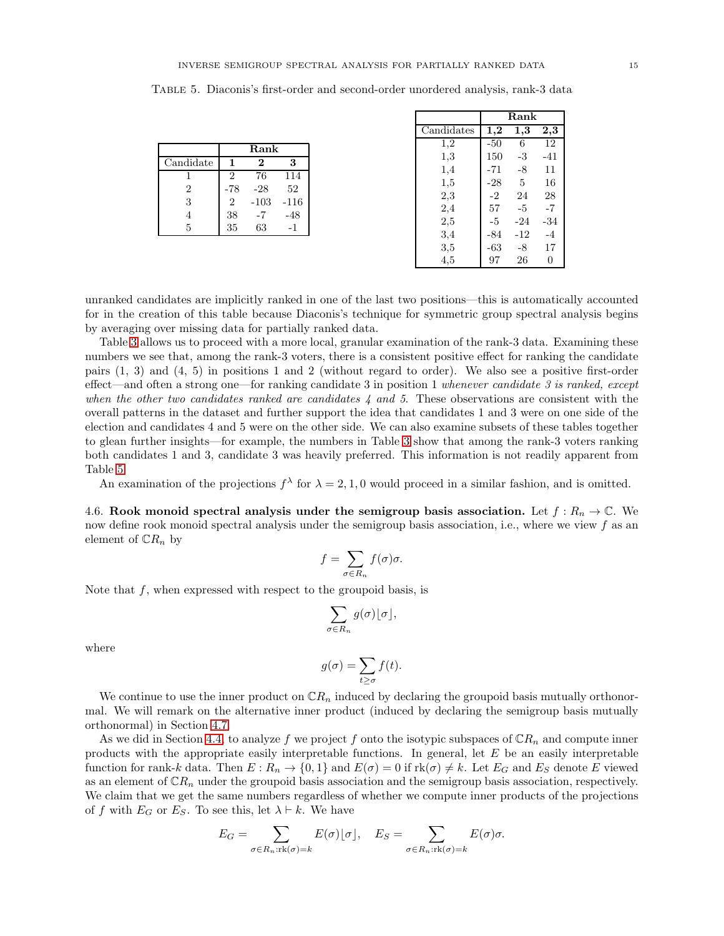<span id="page-14-1"></span>

|                |       |        |        |            | railk |       |       |
|----------------|-------|--------|--------|------------|-------|-------|-------|
|                |       |        |        | Candidates | 1,2   | 1,3   | 2,3   |
|                |       | Rank   |        | 1,2        | $-50$ | 6     | 12    |
| Candidate      |       | 2      | 3      | 1,3        | 150   | $-3$  | $-41$ |
|                | 2     | 76     | 114    | 1,4        | -71   | -8    |       |
|                |       |        |        | 1,5        | $-28$ | 5     |       |
| $\overline{2}$ | $-78$ | $-28$  | 52     | 2,3        | $-2$  | 24    | 28    |
| 3              | 2     | $-103$ | $-116$ | 2,4        | 57    | -5    |       |
| 4              | 38    | $-7$   | $-48$  | 2,5        | -5    | $-24$ | -34   |
| 5              | 35    | 63     | -1     | 3,4        | -84   | $-12$ |       |
|                |       |        |        | 3,5        | $-63$ | $-8$  |       |
|                |       |        |        | 4,5        | 97    | 26    |       |

Table 5. Diaconis's first-order and second-order unordered analysis, rank-3 data

unranked candidates are implicitly ranked in one of the last two positions—this is automatically accounted for in the creation of this table because Diaconis's technique for symmetric group spectral analysis begins by averaging over missing data for partially ranked data.

Table [3](#page-13-0) allows us to proceed with a more local, granular examination of the rank-3 data. Examining these numbers we see that, among the rank-3 voters, there is a consistent positive effect for ranking the candidate pairs (1, 3) and (4, 5) in positions 1 and 2 (without regard to order). We also see a positive first-order effect—and often a strong one—for ranking candidate 3 in position 1 whenever candidate 3 is ranked, except when the other two candidates ranked are candidates  $\mu$  and 5. These observations are consistent with the overall patterns in the dataset and further support the idea that candidates 1 and 3 were on one side of the election and candidates 4 and 5 were on the other side. We can also examine subsets of these tables together to glean further insights—for example, the numbers in Table [3](#page-13-0) show that among the rank-3 voters ranking both candidates 1 and 3, candidate 3 was heavily preferred. This information is not readily apparent from Table [5.](#page-14-1)

An examination of the projections  $f^{\lambda}$  for  $\lambda = 2, 1, 0$  would proceed in a similar fashion, and is omitted.

<span id="page-14-0"></span>4.6. Rook monoid spectral analysis under the semigroup basis association. Let  $f: R_n \to \mathbb{C}$ . We now define rook monoid spectral analysis under the semigroup basis association, i.e., where we view  $f$  as an element of  $\mathbb{C}R_n$  by

$$
f = \sum_{\sigma \in R_n} f(\sigma) \sigma.
$$

Note that  $f$ , when expressed with respect to the groupoid basis, is

$$
\sum_{\sigma \in R_n} g(\sigma) \lfloor \sigma \rfloor,
$$

where

$$
g(\sigma) = \sum_{t \ge \sigma} f(t).
$$

We continue to use the inner product on  $\mathbb{C}R_n$  induced by declaring the groupoid basis mutually orthonormal. We will remark on the alternative inner product (induced by declaring the semigroup basis mutually orthonormal) in Section [4.7.](#page-15-1)

As we did in Section [4.4,](#page-9-1) to analyze f we project f onto the isotypic subspaces of  $\mathbb{C}R_n$  and compute inner products with the appropriate easily interpretable functions. In general, let  $E$  be an easily interpretable function for rank-k data. Then  $E: R_n \to \{0,1\}$  and  $E(\sigma) = 0$  if  $rk(\sigma) \neq k$ . Let  $E_G$  and  $E_S$  denote E viewed as an element of  $\mathbb{C}R_n$  under the groupoid basis association and the semigroup basis association, respectively. We claim that we get the same numbers regardless of whether we compute inner products of the projections of f with  $E_G$  or  $E_S$ . To see this, let  $\lambda \vdash k$ . We have

$$
E_G = \sum_{\sigma \in R_n: \text{rk}(\sigma) = k} E(\sigma) \lfloor \sigma \rfloor, \quad E_S = \sum_{\sigma \in R_n: \text{rk}(\sigma) = k} E(\sigma) \sigma.
$$

 $\mathbf{D}_{\mathbf{e}}$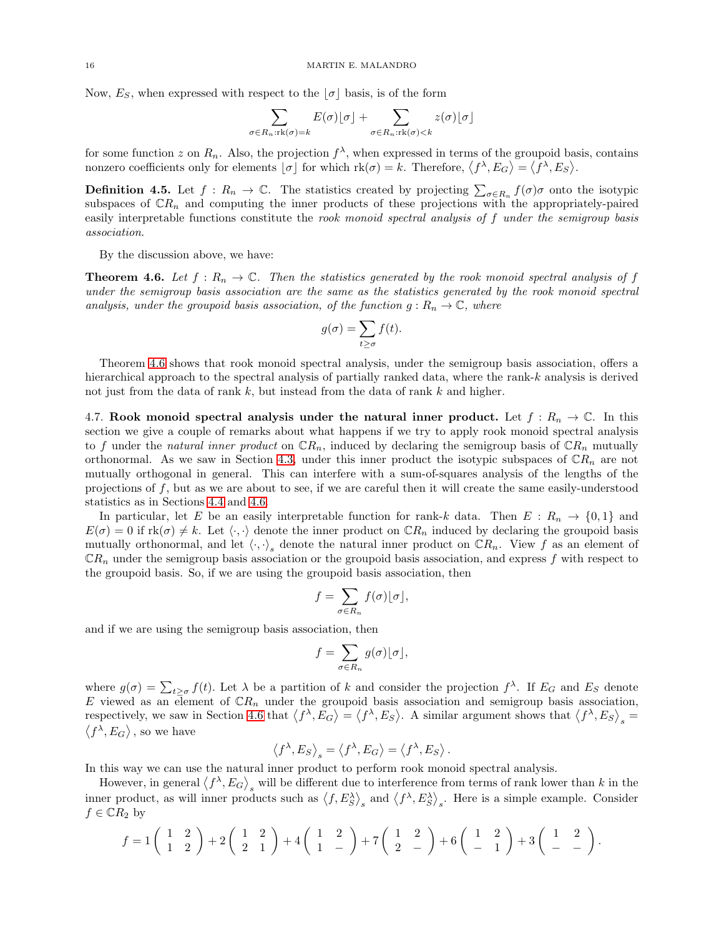Now,  $E_S$ , when expressed with respect to the  $|\sigma|$  basis, is of the form

$$
\sum_{\sigma \in R_n: \text{rk}(\sigma) = k} E(\sigma) \lfloor \sigma \rfloor + \sum_{\sigma \in R_n: \text{rk}(\sigma) < k} z(\sigma) \lfloor \sigma \rfloor
$$

for some function z on  $R_n$ . Also, the projection  $f^{\lambda}$ , when expressed in terms of the groupoid basis, contains nonzero coefficients only for elements  $\lfloor \sigma \rfloor$  for which  $\text{rk}(\sigma) = k$ . Therefore,  $\langle f^{\lambda}, E_G \rangle = \langle f^{\lambda}, E_S \rangle$ .

**Definition 4.5.** Let  $f: R_n \to \mathbb{C}$ . The statistics created by projecting  $\sum_{\sigma \in R_n} f(\sigma) \sigma$  onto the isotypic subspaces of  $\mathbb{C}R_n$  and computing the inner products of these projections with the appropriately-paired easily interpretable functions constitute the *rook monoid spectral analysis of f under the semigroup basis* association.

By the discussion above, we have:

<span id="page-15-0"></span>**Theorem 4.6.** Let  $f: R_n \to \mathbb{C}$ . Then the statistics generated by the rook monoid spectral analysis of f under the semigroup basis association are the same as the statistics generated by the rook monoid spectral analysis, under the groupoid basis association, of the function  $g: R_n \to \mathbb{C}$ , where

$$
g(\sigma) = \sum_{t \ge \sigma} f(t).
$$

Theorem [4.6](#page-15-0) shows that rook monoid spectral analysis, under the semigroup basis association, offers a hierarchical approach to the spectral analysis of partially ranked data, where the rank-k analysis is derived not just from the data of rank  $k$ , but instead from the data of rank  $k$  and higher.

<span id="page-15-1"></span>4.7. Rook monoid spectral analysis under the natural inner product. Let  $f : R_n \to \mathbb{C}$ . In this section we give a couple of remarks about what happens if we try to apply rook monoid spectral analysis to f under the natural inner product on  $\mathbb{C}R_n$ , induced by declaring the semigroup basis of  $\mathbb{C}R_n$  mutually orthonormal. As we saw in Section [4.3,](#page-8-0) under this inner product the isotypic subspaces of  $\mathbb{C}R_n$  are not mutually orthogonal in general. This can interfere with a sum-of-squares analysis of the lengths of the projections of  $f$ , but as we are about to see, if we are careful then it will create the same easily-understood statistics as in Sections [4.4](#page-9-1) and [4.6.](#page-14-0)

In particular, let E be an easily interpretable function for rank-k data. Then  $E: R_n \to \{0,1\}$  and  $E(\sigma) = 0$  if  $rk(\sigma) \neq k$ . Let  $\langle \cdot, \cdot \rangle$  denote the inner product on  $\mathbb{C}R_n$  induced by declaring the groupoid basis mutually orthonormal, and let  $\langle \cdot, \cdot \rangle_s$  denote the natural inner product on  $\mathbb{C}R_n$ . View f as an element of  $\mathbb{C}R_n$  under the semigroup basis association or the groupoid basis association, and express f with respect to the groupoid basis. So, if we are using the groupoid basis association, then

$$
f = \sum_{\sigma \in R_n} f(\sigma) \lfloor \sigma \rfloor,
$$

and if we are using the semigroup basis association, then

$$
f = \sum_{\sigma \in R_n} g(\sigma) \lfloor \sigma \rfloor,
$$

where  $g(\sigma) = \sum_{t \ge \sigma} f(t)$ . Let  $\lambda$  be a partition of k and consider the projection  $f^{\lambda}$ . If  $E_G$  and  $E_S$  denote E viewed as an element of  $\mathbb{C}R_n$  under the groupoid basis association and semigroup basis association, respectively, we saw in Section [4.6](#page-14-0) that  $\langle f^{\lambda}, E_G \rangle = \langle f^{\lambda}, E_S \rangle$ . A similar argument shows that  $\langle f^{\lambda}, E_S \rangle_s =$  $\langle f^{\lambda}, E_G \rangle$ , so we have

$$
\langle f^{\lambda}, E_S \rangle_s = \langle f^{\lambda}, E_G \rangle = \langle f^{\lambda}, E_S \rangle.
$$

In this way we can use the natural inner product to perform rook monoid spectral analysis.

However, in general  $\langle f^{\lambda}, E_G \rangle_s$  will be different due to interference from terms of rank lower than k in the inner product, as will inner products such as  $\langle f, E_S^{\lambda} \rangle_s$  and  $\langle f^{\lambda}, E_S^{\lambda} \rangle_s$ . Here is a simple example. Consider  $f \in \mathbb{C} R_2$  by

$$
f=1\begin{pmatrix}1&2\\1&2\end{pmatrix}+2\begin{pmatrix}1&2\\2&1\end{pmatrix}+4\begin{pmatrix}1&2\\1&-\end{pmatrix}+7\begin{pmatrix}1&2\\2&-\end{pmatrix}+6\begin{pmatrix}1&2\\-&1\end{pmatrix}+3\begin{pmatrix}1&2\\-\end{pmatrix}.
$$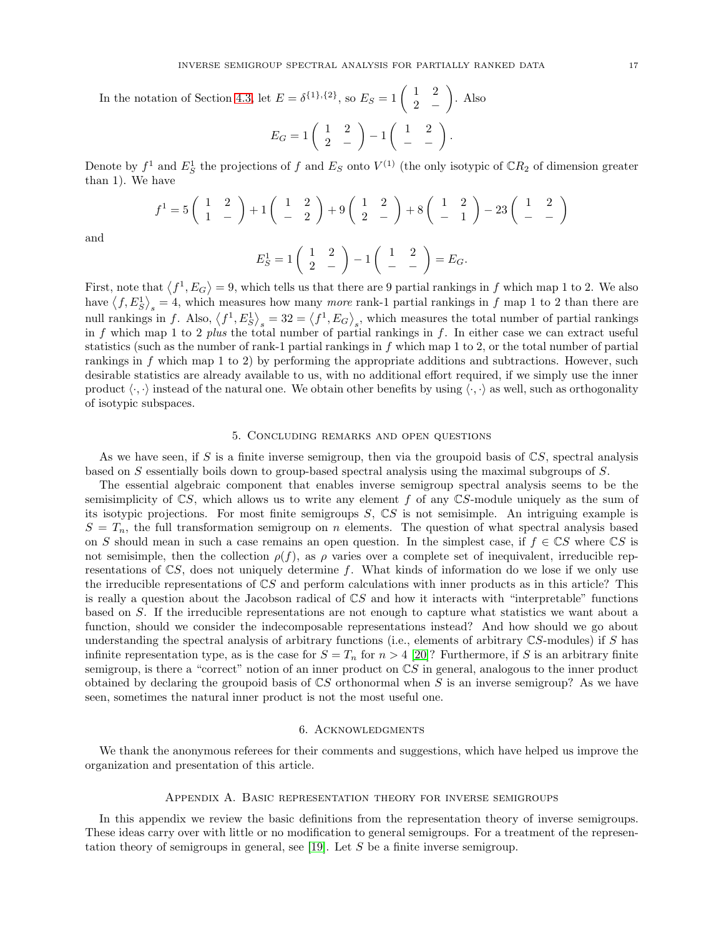In the notation of Section [4.3,](#page-8-0) let  $E = \delta^{\{1\},\{2\}}$ , so  $E_S = 1 \begin{pmatrix} 1 & 2 \\ 2 & 1 \end{pmatrix}$ 2 −  $\bigg).$  Also

$$
E_G = 1\left(\begin{array}{cc} 1 & 2 \\ 2 & - \end{array}\right) - 1\left(\begin{array}{cc} 1 & 2 \\ - & - \end{array}\right).
$$

Denote by  $f^1$  and  $E^1_S$  the projections of f and  $E_S$  onto  $V^{(1)}$  (the only isotypic of  $\mathbb{C}R_2$  of dimension greater than 1). We have

$$
f1 = 5\begin{pmatrix} 1 & 2 \\ 1 & - \end{pmatrix} + 1\begin{pmatrix} 1 & 2 \\ - & 2 \end{pmatrix} + 9\begin{pmatrix} 1 & 2 \\ 2 & - \end{pmatrix} + 8\begin{pmatrix} 1 & 2 \\ - & 1 \end{pmatrix} - 23\begin{pmatrix} 1 & 2 \\ - & - \end{pmatrix}
$$

and

$$
E_S^1 = 1\left(\begin{array}{cc} 1 & 2 \\ 2 & - \end{array}\right) - 1\left(\begin{array}{cc} 1 & 2 \\ - & - \end{array}\right) = E_G.
$$

First, note that  $\langle f^1, E_G \rangle = 9$ , which tells us that there are 9 partial rankings in f which map 1 to 2. We also have  $\langle f, E_S^1 \rangle_s = 4$ , which measures how many *more* rank-1 partial rankings in f map 1 to 2 than there are null rankings in f. Also,  $\langle f^1, E_S^1 \rangle_s = 32 = \langle f^1, E_G \rangle_s$ , which measures the total number of partial rankings in f which map 1 to 2 plus the total number of partial rankings in  $f$ . In either case we can extract useful statistics (such as the number of rank-1 partial rankings in f which map 1 to 2, or the total number of partial rankings in f which map 1 to 2) by performing the appropriate additions and subtractions. However, such desirable statistics are already available to us, with no additional effort required, if we simply use the inner product  $\langle \cdot, \cdot \rangle$  instead of the natural one. We obtain other benefits by using  $\langle \cdot, \cdot \rangle$  as well, such as orthogonality of isotypic subspaces.

## 5. Concluding remarks and open questions

<span id="page-16-0"></span>As we have seen, if S is a finite inverse semigroup, then via the groupoid basis of  $\mathbb{C}S$ , spectral analysis based on S essentially boils down to group-based spectral analysis using the maximal subgroups of S.

The essential algebraic component that enables inverse semigroup spectral analysis seems to be the semisimplicity of  $\mathbb{C}S$ , which allows us to write any element f of any  $\mathbb{C}S$ -module uniquely as the sum of its isotypic projections. For most finite semigroups  $S$ ,  $\mathbb{C}S$  is not semisimple. An intriguing example is  $S = T_n$ , the full transformation semigroup on n elements. The question of what spectral analysis based on S should mean in such a case remains an open question. In the simplest case, if  $f \in \mathbb{C}S$  where  $\mathbb{C}S$  is not semisimple, then the collection  $\rho(f)$ , as  $\rho$  varies over a complete set of inequivalent, irreducible representations of  $\mathbb{C}S$ , does not uniquely determine f. What kinds of information do we lose if we only use the irreducible representations of  $\mathbb{C}S$  and perform calculations with inner products as in this article? This is really a question about the Jacobson radical of  $\mathbb{C}S$  and how it interacts with "interpretable" functions based on S. If the irreducible representations are not enough to capture what statistics we want about a function, should we consider the indecomposable representations instead? And how should we go about understanding the spectral analysis of arbitrary functions (i.e., elements of arbitrary CS-modules) if S has infinite representation type, as is the case for  $S = T_n$  for  $n > 4$  [\[20\]](#page-24-11)? Furthermore, if S is an arbitrary finite semigroup, is there a "correct" notion of an inner product on  $\mathbb{C}S$  in general, analogous to the inner product obtained by declaring the groupoid basis of  $\mathbb{C}S$  orthonormal when S is an inverse semigroup? As we have seen, sometimes the natural inner product is not the most useful one.

### 6. Acknowledgments

<span id="page-16-1"></span>We thank the anonymous referees for their comments and suggestions, which have helped us improve the organization and presentation of this article.

### Appendix A. Basic representation theory for inverse semigroups

In this appendix we review the basic definitions from the representation theory of inverse semigroups. These ideas carry over with little or no modification to general semigroups. For a treatment of the representation theory of semigroups in general, see [\[19\]](#page-24-12). Let S be a finite inverse semigroup.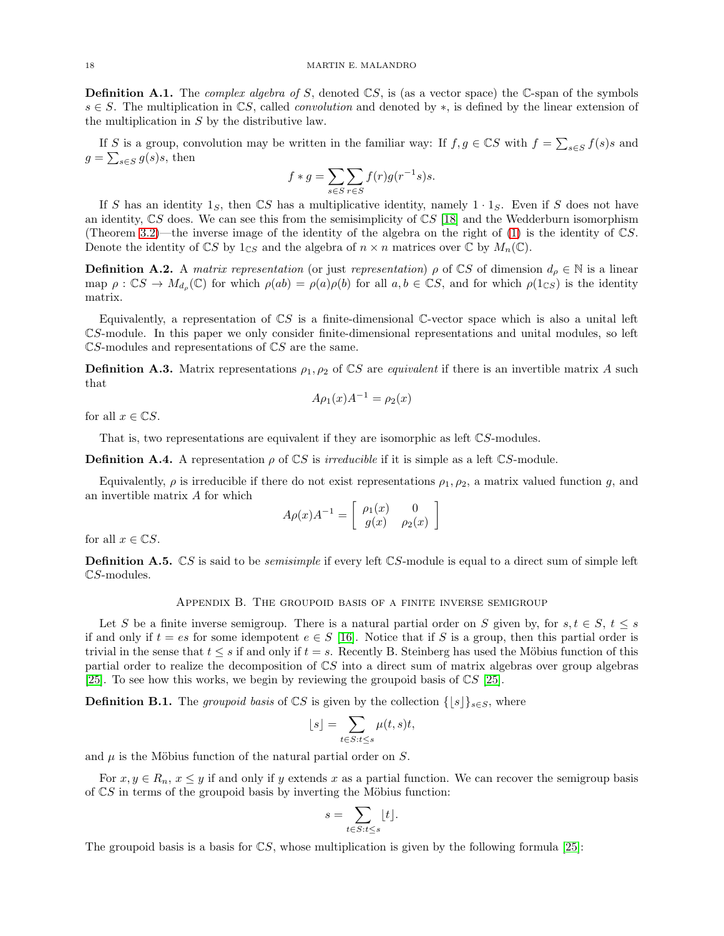**Definition A.1.** The *complex algebra of S*, denoted  $\mathbb{C}S$ , is (as a vector space) the C-span of the symbols  $s \in S$ . The multiplication in CS, called *convolution* and denoted by \*, is defined by the linear extension of the multiplication in S by the distributive law.

If S is a group, convolution may be written in the familiar way: If  $f, g \in \mathbb{C}$ S with  $f = \sum_{s \in S} f(s) s$  and  $g = \sum_{s \in S} g(s)s$ , then

$$
f*g = \sum_{s \in S} \sum_{r \in S} f(r)g(r^{-1}s)s.
$$

If S has an identity  $1_S$ , then CS has a multiplicative identity, namely  $1 \cdot 1_S$ . Even if S does not have an identity,  $\mathbb{C}S$  does. We can see this from the semisimplicity of  $\mathbb{C}S$  [\[18\]](#page-24-1) and the Wedderburn isomorphism (Theorem [3.2\)](#page-2-2)—the inverse image of the identity of the algebra on the right of  $(1)$  is the identity of  $\mathbb{C}S$ . Denote the identity of  $\mathbb{C}S$  by  $1_{\mathbb{C}S}$  and the algebra of  $n \times n$  matrices over  $\mathbb{C}$  by  $M_n(\mathbb{C})$ .

**Definition A.2.** A matrix representation (or just representation)  $\rho$  of CS of dimension  $d_{\rho} \in \mathbb{N}$  is a linear map  $\rho : \mathbb{C}S \to M_{d_{\rho}}(\mathbb{C})$  for which  $\rho(ab) = \rho(a)\rho(b)$  for all  $a, b \in \mathbb{C}S$ , and for which  $\rho(1_{\mathbb{C}S})$  is the identity matrix.

Equivalently, a representation of  $\mathbb{C}S$  is a finite-dimensional  $\mathbb{C}\text{-vector space}$  which is also a unital left CS-module. In this paper we only consider finite-dimensional representations and unital modules, so left  $\mathbb{C}S$ -modules and representations of  $\mathbb{C}S$  are the same.

**Definition A.3.** Matrix representations  $\rho_1, \rho_2$  of CS are *equivalent* if there is an invertible matrix A such that

$$
A\rho_1(x)A^{-1} = \rho_2(x)
$$

for all  $x \in \mathbb{C}S$ .

That is, two representations are equivalent if they are isomorphic as left CS-modules.

**Definition A.4.** A representation  $\rho$  of CS is *irreducible* if it is simple as a left CS-module.

Equivalently,  $\rho$  is irreducible if there do not exist representations  $\rho_1, \rho_2$ , a matrix valued function g, and an invertible matrix A for which

$$
A\rho(x)A^{-1} = \begin{bmatrix} \rho_1(x) & 0\\ g(x) & \rho_2(x) \end{bmatrix}
$$

for all  $x \in \mathbb{C}S$ .

<span id="page-17-0"></span>**Definition A.5.** CS is said to be *semisimple* if every left  $\mathbb{C}S$ -module is equal to a direct sum of simple left CS-modules.

### Appendix B. The groupoid basis of a finite inverse semigroup

Let S be a finite inverse semigroup. There is a natural partial order on S given by, for  $s, t \in S, t \leq s$ if and only if  $t = es$  for some idempotent  $e \in S$  [\[16\]](#page-24-13). Notice that if S is a group, then this partial order is trivial in the sense that  $t \leq s$  if and only if  $t = s$ . Recently B. Steinberg has used the Möbius function of this partial order to realize the decomposition of  $\mathbb{C}S$  into a direct sum of matrix algebras over group algebras [\[25\]](#page-24-0). To see how this works, we begin by reviewing the groupoid basis of  $\mathbb{C}S$  [25].

**Definition B.1.** The groupoid basis of  $\mathbb{C}S$  is given by the collection  $\{[s]\}_{s\in S}$ , where

$$
\lfloor s\rfloor = \sum_{t\in S: t\leq s} \mu(t,s)t,
$$

and  $\mu$  is the Möbius function of the natural partial order on S.

For  $x, y \in R_n$ ,  $x \leq y$  if and only if y extends x as a partial function. We can recover the semigroup basis of  $\mathbb{C}S$  in terms of the groupoid basis by inverting the Möbius function:

$$
s = \sum_{t \in S: t \le s} \lfloor t \rfloor.
$$

The groupoid basis is a basis for  $\mathbb{C}S$ , whose multiplication is given by the following formula [\[25\]](#page-24-0):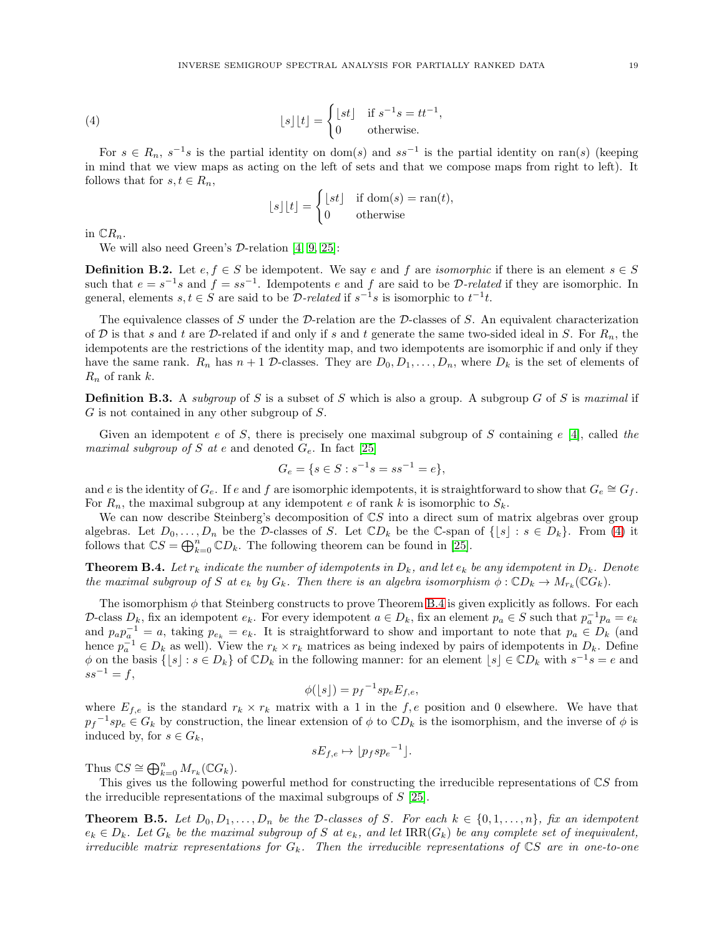For  $s \in R_n$ ,  $s^{-1}s$  is the partial identity on dom(s) and  $ss^{-1}$  is the partial identity on ran(s) (keeping in mind that we view maps as acting on the left of sets and that we compose maps from right to left). It follows that for  $s, t \in R_n$ ,

<span id="page-18-1"></span>
$$
\lfloor s \rfloor \lfloor t \rfloor = \begin{cases} \lfloor st \rfloor & \text{if } \text{dom}(s) = \text{ran}(t), \\ 0 & \text{otherwise} \end{cases}
$$

in  $\mathbb{C}R_n$ .

We will also need Green's D-relation [\[4,](#page-23-1) [9,](#page-23-8) [25\]](#page-24-0):

**Definition B.2.** Let  $e, f \in S$  be idempotent. We say e and f are *isomorphic* if there is an element  $s \in S$ such that  $e = s^{-1}s$  and  $f = ss^{-1}$ . Idempotents e and f are said to be D-related if they are isomorphic. In general, elements  $s, t \in S$  are said to be  $D$ -related if  $s^{-1}s$  is isomorphic to  $t^{-1}t$ .

The equivalence classes of S under the D-relation are the D-classes of S. An equivalent characterization of D is that s and t are D-related if and only if s and t generate the same two-sided ideal in S. For  $R_n$ , the idempotents are the restrictions of the identity map, and two idempotents are isomorphic if and only if they have the same rank.  $R_n$  has  $n + 1$  D-classes. They are  $D_0, D_1, \ldots, D_n$ , where  $D_k$  is the set of elements of  $R_n$  of rank k.

**Definition B.3.** A subgroup of S is a subset of S which is also a group. A subgroup G of S is maximal if G is not contained in any other subgroup of S.

Given an idempotent e of S, there is precisely one maximal subgroup of S containing e [\[4\]](#page-23-1), called the maximal subgroup of S at e and denoted  $G_e$ . In fact [\[25\]](#page-24-0)

$$
G_e = \{ s \in S : s^{-1} s = s s^{-1} = e \},
$$

and e is the identity of  $G_e$ . If e and f are isomorphic idempotents, it is straightforward to show that  $G_e \cong G_f$ . For  $R_n$ , the maximal subgroup at any idempotent e of rank k is isomorphic to  $S_k$ .

We can now describe Steinberg's decomposition of  $\mathbb{C}S$  into a direct sum of matrix algebras over group algebras. Let  $D_0, \ldots, D_n$  be the D-classes of S. Let  $CD_k$  be the C-span of  $\{[s] : s \in D_k\}$ . From [\(4\)](#page-18-1) it follows that  $\mathbb{C}S = \bigoplus_{k=0}^n \mathbb{C}D_k$ . The following theorem can be found in [\[25\]](#page-24-0).

<span id="page-18-2"></span>**Theorem B.4.** Let  $r_k$  indicate the number of idempotents in  $D_k$ , and let  $e_k$  be any idempotent in  $D_k$ . Denote the maximal subgroup of S at  $e_k$  by  $G_k$ . Then there is an algebra isomorphism  $\phi : \mathbb{C}D_k \to M_{r_k}(\mathbb{C}G_k)$ .

The isomorphism  $\phi$  that Steinberg constructs to prove Theorem [B.4](#page-18-2) is given explicitly as follows. For each D-class  $D_k$ , fix an idempotent  $e_k$ . For every idempotent  $a \in D_k$ , fix an element  $p_a \in S$  such that  $p_a^{-1}p_a = e_k$ and  $p_a p_a^{-1} = a$ , taking  $p_{e_k} = e_k$ . It is straightforward to show and important to note that  $p_a \in D_k$  (and hence  $p_a^{-1} \in D_k$  as well). View the  $r_k \times r_k$  matrices as being indexed by pairs of idempotents in  $D_k$ . Define  $\phi$  on the basis  $\{ [s] : s \in D_k \}$  of  $\mathbb{C}D_k$  in the following manner: for an element  $[s] \in \mathbb{C}D_k$  with  $s^{-1}s = e$  and  $ss^{-1} = f,$ 

$$
\phi(\lfloor s \rfloor) = p_f^{-1} s p_e E_{f,e},
$$

where  $E_{f,e}$  is the standard  $r_k \times r_k$  matrix with a 1 in the f, e position and 0 elsewhere. We have that  $p_f^{-1} s p_e \in G_k$  by construction, the linear extension of  $\phi$  to  $\mathbb{C}D_k$  is the isomorphism, and the inverse of  $\phi$  is induced by, for  $s \in G_k$ ,

$$
sE_{f,e} \mapsto [p_f s p_e^{-1}].
$$

Thus  $\mathbb{C}S \cong \bigoplus_{k=0}^n M_{r_k}(\mathbb{C}G_k)$ .

This gives us the following powerful method for constructing the irreducible representations of CS from the irreducible representations of the maximal subgroups of  $S$  [\[25\]](#page-24-0).

<span id="page-18-0"></span>**Theorem B.5.** Let  $D_0, D_1, \ldots, D_n$  be the D-classes of S. For each  $k \in \{0, 1, \ldots, n\}$ , fix an idempotent  $e_k \in D_k$ . Let  $G_k$  be the maximal subgroup of S at  $e_k$ , and let  $\text{IRR}(G_k)$  be any complete set of inequivalent, irreducible matrix representations for  $G_k$ . Then the irreducible representations of  $\mathbb{C}S$  are in one-to-one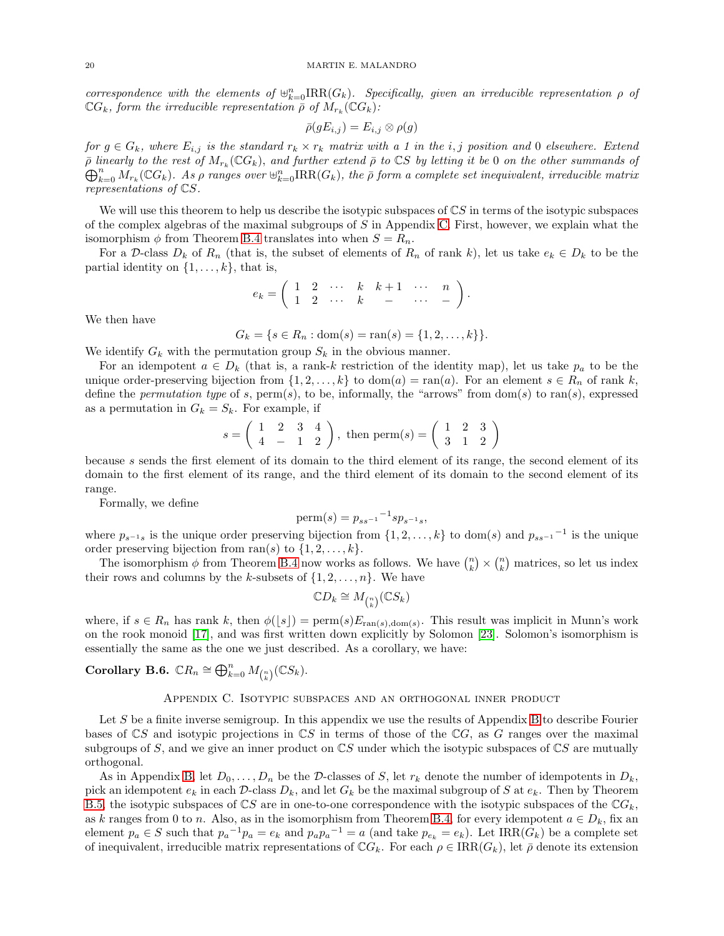correspondence with the elements of  $\biguplus_{k=0}^{n} \text{IRR}(G_k)$ . Specifically, given an irreducible representation  $\rho$  of  $\mathbb{C}G_k$ , form the irreducible representation  $\bar{\rho}$  of  $M_{r_k}(\mathbb{C}G_k)$ :

$$
\bar{\rho}(gE_{i,j})=E_{i,j}\otimes \rho(g)
$$

for  $g \in G_k$ , where  $E_{i,j}$  is the standard  $r_k \times r_k$  matrix with a 1 in the i, j position and 0 elsewhere. Extend  $\bar{\rho}$  linearly to the rest of  $M_{r_k}(\mathbb{C} G_k)$ , and further extend  $\bar{\rho}$  to  $\mathbb{C} S$  by letting it be 0 on the other summands of  $\bigoplus_{k=0}^n M_{r_k}(\mathbb{C}G_k)$ . As  $\rho$  ranges over  $\uplus_{k=0}^n \text{IRR}(G_k)$ , the  $\bar{\rho}$  form a complete set inequivalent, irreducible matrix representations of CS.

We will use this theorem to help us describe the isotypic subspaces of  $\mathbb{C}S$  in terms of the isotypic subspaces of the complex algebras of the maximal subgroups of  $S$  in Appendix [C.](#page-19-0) First, however, we explain what the isomorphism  $\phi$  from Theorem [B.4](#page-18-2) translates into when  $S = R_n$ .

For a D-class  $D_k$  of  $R_n$  (that is, the subset of elements of  $R_n$  of rank k), let us take  $e_k \in D_k$  to be the partial identity on  $\{1, \ldots, k\}$ , that is,

$$
e_k = \left( \begin{array}{cccccc} 1 & 2 & \cdots & k & k+1 & \cdots & n \\ 1 & 2 & \cdots & k & - & \cdots & - \end{array} \right).
$$

We then have

$$
G_k = \{ s \in R_n : \text{dom}(s) = \text{ran}(s) = \{1, 2, \dots, k\} \}.
$$

We identify  $G_k$  with the permutation group  $S_k$  in the obvious manner.

For an idempotent  $a \in D_k$  (that is, a rank-k restriction of the identity map), let us take  $p_a$  to be the unique order-preserving bijection from  $\{1, 2, \ldots, k\}$  to dom $(a) = \text{ran}(a)$ . For an element  $s \in R_n$  of rank k, define the *permutation type* of s, perm(s), to be, informally, the "arrows" from dom(s) to ran(s), expressed as a permutation in  $G_k = S_k$ . For example, if

$$
s = \begin{pmatrix} 1 & 2 & 3 & 4 \\ 4 & - & 1 & 2 \end{pmatrix}, \text{ then } \text{perm}(s) = \begin{pmatrix} 1 & 2 & 3 \\ 3 & 1 & 2 \end{pmatrix}
$$

because s sends the first element of its domain to the third element of its range, the second element of its domain to the first element of its range, and the third element of its domain to the second element of its range.

Formally, we define

$$
perm(s) = p_{ss^{-1}}^{-1} s p_{s^{-1}s},
$$

where  $p_{s-1,s}$  is the unique order preserving bijection from  $\{1,2,\ldots,k\}$  to dom(s) and  $p_{ss-1}$ <sup>-1</sup> is the unique order preserving bijection from  $ran(s)$  to  $\{1, 2, ..., k\}$ .

The isomorphism  $\phi$  from Theorem [B.4](#page-18-2) now works as follows. We have  $\binom{n}{k} \times \binom{n}{k}$  matrices, so let us index their rows and columns by the k-subsets of  $\{1, 2, \ldots, n\}$ . We have

$$
\mathbb{C}D_k \cong M_{\binom{n}{k}}(\mathbb{C}S_k)
$$

where, if  $s \in R_n$  has rank k, then  $\phi([s]) = \text{perm}(s)E_{\text{ran}(s),\text{dom}(s)}$ . This result was implicit in Munn's work on the rook monoid [\[17\]](#page-24-14), and was first written down explicitly by Solomon [\[23\]](#page-24-15). Solomon's isomorphism is essentially the same as the one we just described. As a corollary, we have:

<span id="page-19-0"></span>Corollary B.6.  $\mathbb{C}R_n \cong \bigoplus_{k=0}^n M_{\binom{n}{k}}(\mathbb{C}S_k)$ .

Appendix C. Isotypic subspaces and an orthogonal inner product

Let  $S$  be a finite inverse semigroup. In this appendix we use the results of Appendix [B](#page-17-0) to describe Fourier bases of  $\mathbb{C}S$  and isotypic projections in  $\mathbb{C}S$  in terms of those of the  $\mathbb{C}G$ , as G ranges over the maximal subgroups of S, and we give an inner product on  $\mathbb{C}S$  under which the isotypic subspaces of  $\mathbb{C}S$  are mutually orthogonal.

As in Appendix [B,](#page-17-0) let  $D_0, \ldots, D_n$  be the D-classes of S, let  $r_k$  denote the number of idempotents in  $D_k$ , pick an idempotent  $e_k$  in each D-class  $D_k$ , and let  $G_k$  be the maximal subgroup of S at  $e_k$ . Then by Theorem [B.5,](#page-18-0) the isotypic subspaces of  $\mathbb{C}S$  are in one-to-one correspondence with the isotypic subspaces of the  $\mathbb{C}G_k$ , as k ranges from 0 to n. Also, as in the isomorphism from Theorem [B.4,](#page-18-2) for every idempotent  $a \in D_k$ , fix an element  $p_a \in S$  such that  $p_a^{-1}p_a = e_k$  and  $p_a p_a^{-1} = a$  (and take  $p_{e_k} = e_k$ ). Let  $\text{IRR}(G_k)$  be a complete set of inequivalent, irreducible matrix representations of  $\mathbb{C}G_k$ . For each  $\rho \in \text{IRR}(G_k)$ , let  $\bar{\rho}$  denote its extension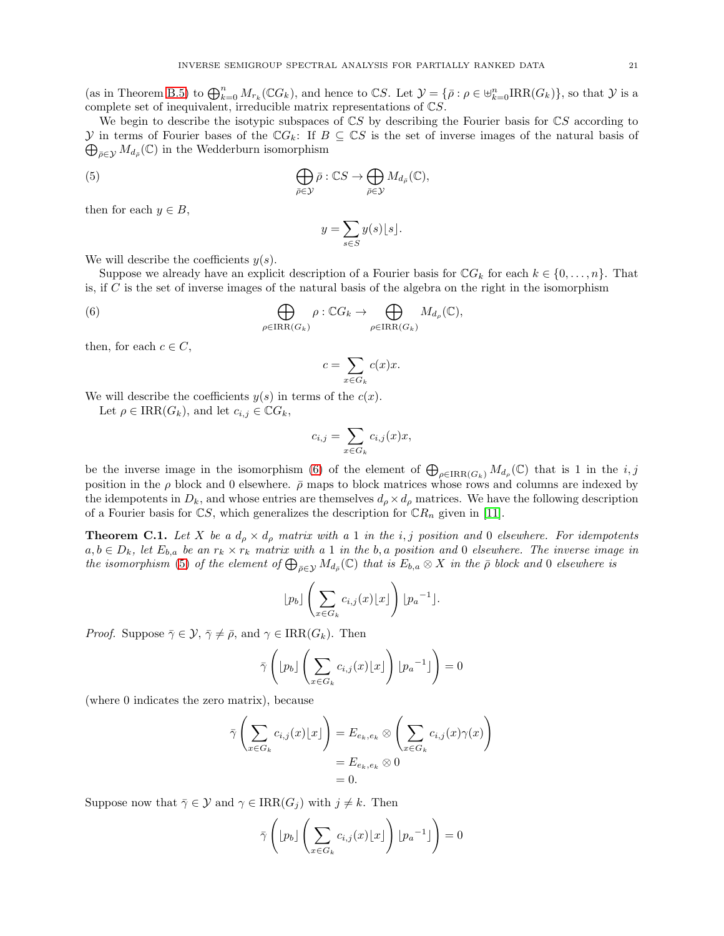(as in Theorem [B.5\)](#page-18-0) to  $\bigoplus_{k=0}^{n} M_{r_k}(\mathbb{C}G_k)$ , and hence to  $\mathbb{C}S$ . Let  $\mathcal{Y} = \{\bar{\rho} : \rho \in \biguplus_{k=0}^{n} \text{IRR}(G_k)\}\$ , so that  $\mathcal{Y}$  is a complete set of inequivalent, irreducible matrix representations of CS.

We begin to describe the isotypic subspaces of  $\mathbb{C}S$  by describing the Fourier basis for  $\mathbb{C}S$  according to y in terms of Fourier bases of the  $\mathbb{C}G_k$ : If  $B \subseteq \mathbb{C}S$  is the set of inverse images of the natural basis of  $\bigoplus_{\bar{\rho}\in\mathcal{Y}}M_{d_{\bar{\rho}}}(\mathbb{C})$  in the Wedderburn isomorphism

(5) 
$$
\bigoplus_{\bar{\rho}\in\mathcal{Y}} \bar{\rho}: \mathbb{C}S \to \bigoplus_{\bar{\rho}\in\mathcal{Y}} M_{d_{\bar{\rho}}}(\mathbb{C}),
$$

then for each  $y \in B$ ,

<span id="page-20-2"></span>
$$
y = \sum_{s \in S} y(s) \lfloor s \rfloor.
$$

We will describe the coefficients  $y(s)$ .

Suppose we already have an explicit description of a Fourier basis for  $\mathbb{C}G_k$  for each  $k \in \{0, \ldots, n\}$ . That is, if  $C$  is the set of inverse images of the natural basis of the algebra on the right in the isomorphism

(6) 
$$
\bigoplus_{\rho \in \text{IRR}(G_k)} \rho : \mathbb{C}G_k \to \bigoplus_{\rho \in \text{IRR}(G_k)} M_{d_{\rho}}(\mathbb{C}),
$$

then, for each  $c \in C$ ,

<span id="page-20-1"></span>
$$
c = \sum_{x \in G_k} c(x)x.
$$

We will describe the coefficients  $y(s)$  in terms of the  $c(x)$ .

Let  $\rho \in \text{IRR}(G_k)$ , and let  $c_{i,j} \in \mathbb{C}G_k$ ,

$$
c_{i,j} = \sum_{x \in G_k} c_{i,j}(x)x,
$$

be the inverse image in the isomorphism [\(6\)](#page-20-1) of the element of  $\bigoplus_{\rho\in\text{IRR}(G_k)} M_{d_{\rho}}(\mathbb{C})$  that is 1 in the *i*, *j* position in the  $\rho$  block and 0 elsewhere.  $\bar{\rho}$  maps to block matrices whose rows and columns are indexed by the idempotents in  $D_k$ , and whose entries are themselves  $d_\rho \times d_\rho$  matrices. We have the following description of a Fourier basis for  $\mathbb{C}S$ , which generalizes the description for  $\mathbb{C}R_n$  given in [\[11\]](#page-24-2).

<span id="page-20-0"></span>**Theorem C.1.** Let X be a  $d_{\rho} \times d_{\rho}$  matrix with a 1 in the i, j position and 0 elsewhere. For idempotents  $a, b \in D_k$ , let  $E_{b,a}$  be an  $r_k \times r_k$  matrix with a 1 in the b, a position and 0 elsewhere. The inverse image in the isomorphism [\(5\)](#page-20-2) of the element of  $\bigoplus_{\bar{\rho}\in\mathcal{Y}}M_{d_{\bar{\rho}}}(\mathbb{C})$  that is  $E_{b,a}\otimes X$  in the  $\bar{\rho}$  block and 0 elsewhere is

$$
\lfloor p_b \rfloor \left( \sum_{x \in G_k} c_{i,j}(x) \lfloor x \rfloor \right) \lfloor p_a^{-1} \rfloor.
$$

*Proof.* Suppose  $\bar{\gamma} \in \mathcal{Y}, \bar{\gamma} \neq \bar{\rho}$ , and  $\gamma \in \text{IRR}(G_k)$ . Then

$$
\bar{\gamma}\left(\lfloor p_b\rfloor\left(\sum_{x\in G_k}c_{i,j}(x)\lfloor x\rfloor\right)\lfloor p_a^{-1}\rfloor\right)=0
$$

(where 0 indicates the zero matrix), because

$$
\bar{\gamma} \left( \sum_{x \in G_k} c_{i,j}(x) \lfloor x \rfloor \right) = E_{e_k, e_k} \otimes \left( \sum_{x \in G_k} c_{i,j}(x) \gamma(x) \right)
$$

$$
= E_{e_k, e_k} \otimes 0
$$

$$
= 0.
$$

Suppose now that  $\bar{\gamma} \in \mathcal{Y}$  and  $\gamma \in \text{IRR}(G_i)$  with  $j \neq k$ . Then

$$
\bar{\gamma}\left(\lfloor p_b\rfloor\left(\sum_{x\in G_k}c_{i,j}(x)\lfloor x\rfloor\right)\lfloor p_a^{-1}\rfloor\right)=0
$$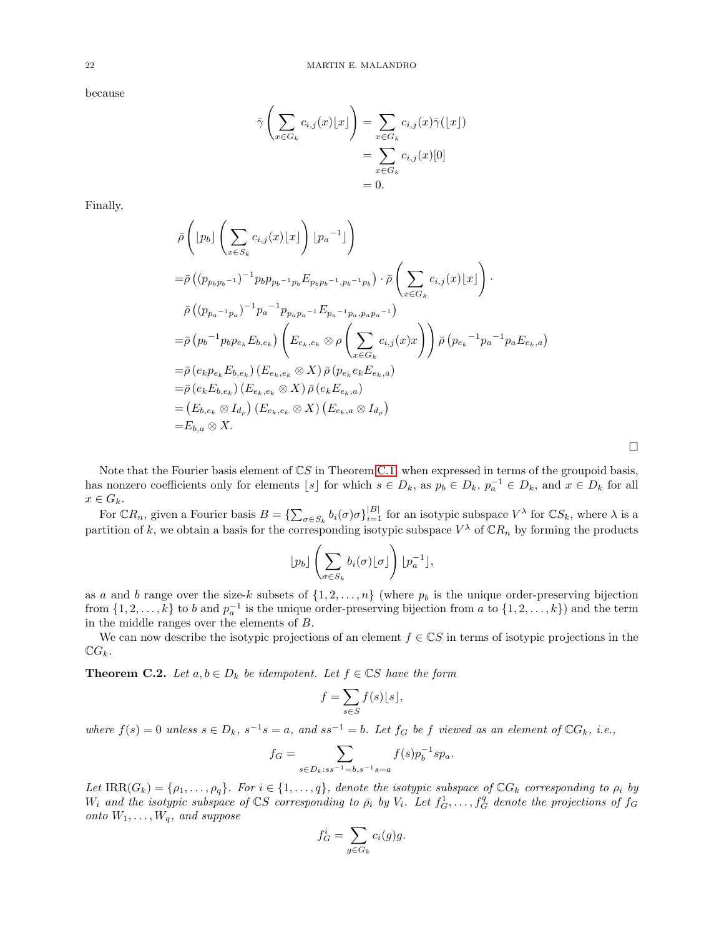because

$$
\bar{\gamma} \left( \sum_{x \in G_k} c_{i,j}(x) \lfloor x \rfloor \right) = \sum_{x \in G_k} c_{i,j}(x) \bar{\gamma}(\lfloor x \rfloor)
$$

$$
= \sum_{x \in G_k} c_{i,j}(x) [0]
$$

$$
= 0.
$$

Finally,

$$
\bar{\rho}\left(\left[p_{b}\right]\left(\sum_{x\in S_{k}}c_{i,j}(x)\left\lfloor x\right\rfloor\right)\left\lfloor p_{a}^{-1}\right\rfloor\right) \n= \bar{\rho}\left((p_{p_{b}p_{b}^{-1}})^{-1}p_{b}p_{p_{b}^{-1}p_{b}}E_{p_{b}p_{b}^{-1},p_{b}^{-1}p_{b}}\right)\cdot\bar{\rho}\left(\sum_{x\in G_{k}}c_{i,j}(x)\left\lfloor x\right\rfloor\right).
$$
\n
$$
\bar{\rho}\left((p_{p_{a}^{-1}p_{a}})^{-1}p_{a}^{-1}p_{p_{a}p_{a}^{-1}}E_{p_{a}^{-1}p_{a,p_{a}p_{a}^{-1}}}\right)
$$
\n
$$
= \bar{\rho}\left(p_{b}^{-1}p_{b}p_{e_{k}}E_{b,e_{k}}\right)\left(E_{e_{k},e_{k}}\otimes\rho\left(\sum_{x\in G_{k}}c_{i,j}(x)x\right)\right)\bar{\rho}\left(p_{e_{k}}^{-1}p_{a}^{-1}p_{a}E_{e_{k},a}\right)
$$
\n
$$
= \bar{\rho}\left(e_{k}p_{e_{k}}E_{b,e_{k}}\right)\left(E_{e_{k},e_{k}}\otimes X\right)\bar{\rho}\left(p_{e_{k}}e_{k}E_{e_{k},a}\right)
$$
\n
$$
= \bar{\rho}\left(e_{k}E_{b,e_{k}}\right)\left(E_{e_{k},e_{k}}\otimes X\right)\bar{\rho}\left(e_{k}E_{e_{k},a}\right)
$$
\n
$$
= \left(E_{b,e_{k}}\otimes I_{d_{\rho}}\right)\left(E_{e_{k},e_{k}}\otimes X\right)\left(E_{e_{k},a}\otimes I_{d_{\rho}}\right)
$$
\n
$$
= E_{b,a}\otimes X.
$$

Note that the Fourier basis element of  $\mathbb{C}S$  in Theorem [C.1,](#page-20-0) when expressed in terms of the groupoid basis, has nonzero coefficients only for elements  $[s]$  for which  $s \in D_k$ , as  $p_b \in D_k$ ,  $p_a^{-1} \in D_k$ , and  $x \in D_k$  for all  $x \in G_k$ .

 $\Box$ 

For  $\mathbb{C}R_n$ , given a Fourier basis  $B = \{\sum_{\sigma \in S_k} b_i(\sigma) \sigma\}_{i=1}^{|B|}$  for an isotypic subspace  $V^{\lambda}$  for  $\mathbb{C}S_k$ , where  $\lambda$  is a partition of k, we obtain a basis for the corresponding isotypic subspace  $V^{\lambda}$  of  $\mathbb{C}R_n$  by forming the products

$$
\lfloor p_b \rfloor \left( \sum_{\sigma \in S_k} b_i(\sigma) \lfloor \sigma \rfloor \right) \lfloor p_a^{-1} \rfloor,
$$

as a and b range over the size-k subsets of  $\{1, 2, ..., n\}$  (where  $p_b$  is the unique order-preserving bijection from  $\{1, 2, \ldots, k\}$  to b and  $p_a^{-1}$  is the unique order-preserving bijection from a to  $\{1, 2, \ldots, k\}$  and the term in the middle ranges over the elements of B.

We can now describe the isotypic projections of an element  $f \in \mathbb{C}S$  in terms of isotypic projections in the  $\mathbb{C}G_k$ .

<span id="page-21-0"></span>**Theorem C.2.** Let  $a, b \in D_k$  be idempotent. Let  $f \in \mathbb{C}S$  have the form

$$
f = \sum_{s \in S} f(s) \lfloor s \rfloor,
$$

where  $f(s) = 0$  unless  $s \in D_k$ ,  $s^{-1}s = a$ , and  $ss^{-1} = b$ . Let  $f_G$  be f viewed as an element of  $\mathbb{C}G_k$ , i.e.,

$$
f_G = \sum_{s \in D_k: ss^{-1} = b, s^{-1} s = a} f(s) p_b^{-1} s p_a.
$$

Let  $\text{IRR}(G_k) = \{\rho_1, \ldots, \rho_q\}$ . For  $i \in \{1, \ldots, q\}$ , denote the isotypic subspace of  $\mathbb{C}G_k$  corresponding to  $\rho_i$  by  $W_i$  and the isotypic subspace of CS corresponding to  $\bar{\rho}_i$  by  $V_i$ . Let  $f_G^1, \ldots, f_G^q$  denote the projections of  $f_G$ onto  $W_1, \ldots, W_q$ , and suppose

$$
f_G^i = \sum_{g \in G_k} c_i(g)g.
$$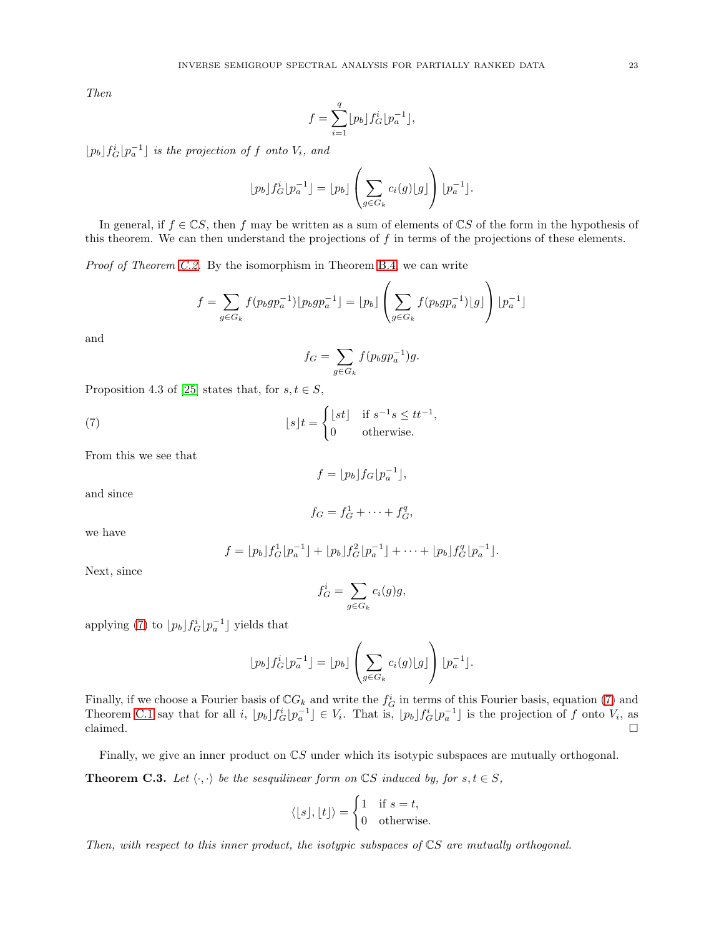Then

$$
f = \sum_{i=1}^{q} \lfloor p_b \rfloor f_G^i \lfloor p_a^{-1} \rfloor,
$$

 $\lfloor p_b \rfloor f_G^i \lfloor p_a^{-1} \rfloor$  is the projection of f onto  $V_i$ , and

$$
\lfloor p_b \rfloor f_G^i \lfloor p_a^{-1} \rfloor = \lfloor p_b \rfloor \left( \sum_{g \in G_k} c_i(g) \lfloor g \rfloor \right) \lfloor p_a^{-1} \rfloor.
$$

In general, if  $f \in \mathbb{C}S$ , then f may be written as a sum of elements of  $\mathbb{C}S$  of the form in the hypothesis of this theorem. We can then understand the projections of  $f$  in terms of the projections of these elements.

Proof of Theorem [C.2.](#page-21-0) By the isomorphism in Theorem [B.4,](#page-18-2) we can write

$$
f = \sum_{g \in G_k} f(p_b g p_a^{-1}) \lfloor p_b g p_a^{-1} \rfloor = \lfloor p_b \rfloor \left( \sum_{g \in G_k} f(p_b g p_a^{-1}) \lfloor g \rfloor \right) \lfloor p_a^{-1} \rfloor
$$

and

$$
f_G = \sum_{g \in G_k} f(p_b g p_a^{-1}) g.
$$

Proposition 4.3 of [\[25\]](#page-24-0) states that, for  $s, t \in S$ ,

(7) 
$$
\lfloor s \rfloor t = \begin{cases} \lfloor st \rfloor & \text{if } s^{-1}s \leq tt^{-1}, \\ 0 & \text{otherwise.} \end{cases}
$$

From this we see that

<span id="page-22-1"></span>
$$
f = \lfloor p_b \rfloor f_G \lfloor p_a^{-1} \rfloor,
$$

and since

$$
f_G = f_G^1 + \dots + f_G^q,
$$

we have

$$
f = \lfloor p_b \rfloor f_G^1 \lfloor p_a^{-1} \rfloor + \lfloor p_b \rfloor f_G^2 \lfloor p_a^{-1} \rfloor + \cdots + \lfloor p_b \rfloor f_G^q \lfloor p_a^{-1} \rfloor.
$$

Next, since

$$
f_G^i = \sum_{g \in G_k} c_i(g)g,
$$

applying [\(7\)](#page-22-1) to  $\lfloor p_b \rfloor f_G^i \lfloor p_a^{-1} \rfloor$  yields that

$$
\lfloor p_b \rfloor f_G^i \lfloor p_a^{-1} \rfloor = \lfloor p_b \rfloor \left( \sum_{g \in G_k} c_i(g) \lfloor g \rfloor \right) \lfloor p_a^{-1} \rfloor.
$$

Finally, if we choose a Fourier basis of  $\mathbb{C}G_k$  and write the  $f_G^i$  in terms of this Fourier basis, equation [\(7\)](#page-22-1) and Theorem [C.1](#page-20-0) say that for all  $i, \lfloor p_b \rfloor f_G^i[p_a^{-1}] \in V_i$ . That is,  $\lfloor p_b \rfloor f_G^i[p_a^{-1}]$  is the projection of f onto  $V_i$ , as  $\Box$ claimed.  $\Box$ 

Finally, we give an inner product on CS under which its isotypic subspaces are mutually orthogonal.

<span id="page-22-0"></span>**Theorem C.3.** Let  $\langle \cdot, \cdot \rangle$  be the sesquilinear form on CS induced by, for  $s, t \in S$ ,

$$
\langle \lfloor s \rfloor, \lfloor t \rfloor \rangle = \begin{cases} 1 & \text{if } s = t, \\ 0 & \text{otherwise.} \end{cases}
$$

Then, with respect to this inner product, the isotypic subspaces of CS are mutually orthogonal.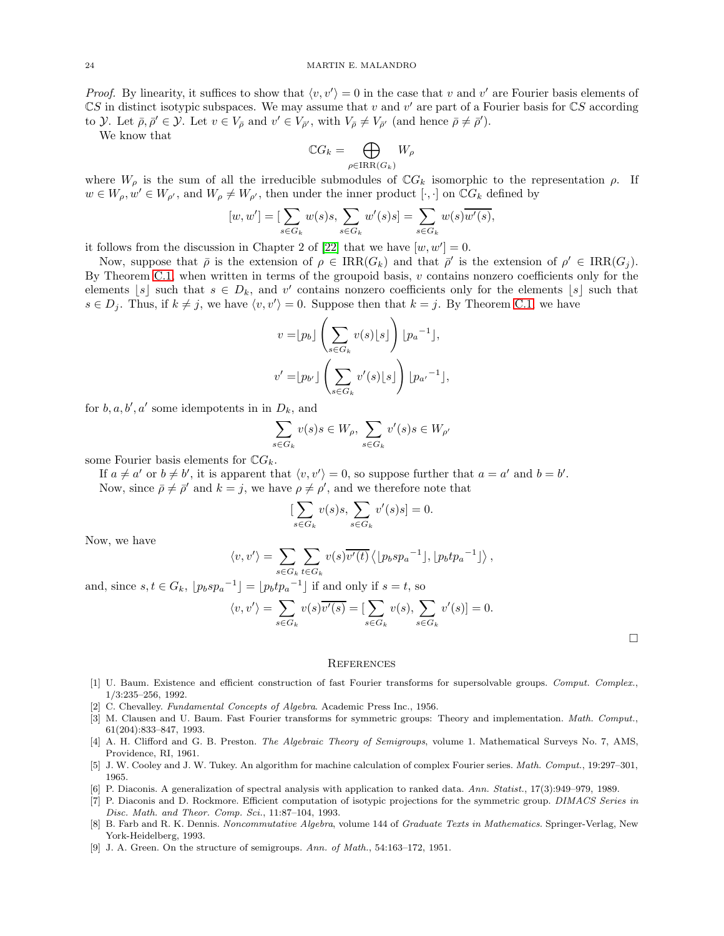*Proof.* By linearity, it suffices to show that  $\langle v, v' \rangle = 0$  in the case that v and v' are Fourier basis elements of  $\mathbb{C}S$  in distinct isotypic subspaces. We may assume that v and v' are part of a Fourier basis for  $\mathbb{C}S$  according to *Y*. Let  $\bar{\rho}, \bar{\rho}' \in \mathcal{Y}$ . Let  $v \in V_{\bar{\rho}}$  and  $v' \in V_{\bar{\rho}'},$  with  $V_{\bar{\rho}} \neq V_{\bar{\rho}'}$  (and hence  $\bar{\rho} \neq \bar{\rho}'$ ).

We know that

$$
\mathbb{C}G_k = \bigoplus_{\rho \in \text{IRR}(G_k)} W_{\rho}
$$

where  $W_{\rho}$  is the sum of all the irreducible submodules of  $\mathbb{C}G_k$  isomorphic to the representation  $\rho$ . If  $w \in W_{\rho}, w' \in W_{\rho'},$  and  $W_{\rho} \neq W_{\rho'}$ , then under the inner product  $[\cdot, \cdot]$  on  $\mathbb{C}G_k$  defined by

$$
[w, w'] = [\sum_{s \in G_k} w(s)s, \sum_{s \in G_k} w'(s)s] = \sum_{s \in G_k} w(s)\overline{w'(s)},
$$

it follows from the discussion in Chapter 2 of [\[22\]](#page-24-9) that we have  $[w, w'] = 0$ .

Now, suppose that  $\bar{\rho}$  is the extension of  $\rho \in \text{IRR}(G_k)$  and that  $\bar{\rho}'$  is the extension of  $\rho' \in \text{IRR}(G_j)$ . By Theorem [C.1,](#page-20-0) when written in terms of the groupoid basis,  $v$  contains nonzero coefficients only for the elements [s] such that  $s \in D_k$ , and v' contains nonzero coefficients only for the elements [s] such that  $s \in D_j$ . Thus, if  $k \neq j$ , we have  $\langle v, v' \rangle = 0$ . Suppose then that  $k = j$ . By Theorem [C.1,](#page-20-0) we have

$$
v = \lfloor p_b \rfloor \left( \sum_{s \in G_k} v(s) \lfloor s \rfloor \right) \lfloor p_a^{-1} \rfloor,
$$
  

$$
v' = \lfloor p_{b'} \rfloor \left( \sum_{s \in G_k} v'(s) \lfloor s \rfloor \right) \lfloor p_{a'}^{-1} \rfloor,
$$

for  $b, a, b', a'$  some idempotents in in  $D_k$ , and

$$
\sum_{s\in G_k}v(s)s\in W_\rho, \ \sum_{s\in G_k}v'(s)s\in W_{\rho'}
$$

some Fourier basis elements for  $\mathbb{C}G_k$ .

If  $a \neq a'$  or  $b \neq b'$ , it is apparent that  $\langle v, v' \rangle = 0$ , so suppose further that  $a = a'$  and  $b = b'$ . Now, since  $\bar{\rho} \neq \bar{\rho}'$  and  $k = j$ , we have  $\rho \neq \rho'$ , and we therefore note that

$$
\left[\sum_{s \in G_k} v(s)s, \sum_{s \in G_k} v'(s)s\right] = 0.
$$

Now, we have

$$
\langle v, v' \rangle = \sum_{s \in G_k} \sum_{t \in G_k} v(s) \overline{v'(t)} \langle \lfloor p_b s p_a^{-1} \rfloor, \lfloor p_b t p_a^{-1} \rfloor \rangle,
$$

and, since  $s, t \in G_k$ ,  $\lfloor p_b s p_a^{-1} \rfloor = \lfloor p_b t p_a^{-1} \rfloor$  if and only if  $s = t$ , so

$$
\langle v, v' \rangle = \sum_{s \in G_k} v(s) \overline{v'(s)} = \left[ \sum_{s \in G_k} v(s), \sum_{s \in G_k} v'(s) \right] = 0.
$$

 $\Box$ 

#### **REFERENCES**

- <span id="page-23-4"></span>[1] U. Baum. Existence and efficient construction of fast Fourier transforms for supersolvable groups. Comput. Complex., 1/3:235–256, 1992.
- <span id="page-23-5"></span><span id="page-23-3"></span>[2] C. Chevalley. Fundamental Concepts of Algebra. Academic Press Inc., 1956.
- [3] M. Clausen and U. Baum. Fast Fourier transforms for symmetric groups: Theory and implementation. Math. Comput., 61(204):833–847, 1993.
- <span id="page-23-1"></span>[4] A. H. Clifford and G. B. Preston. The Algebraic Theory of Semigroups, volume 1. Mathematical Surveys No. 7, AMS, Providence, RI, 1961.
- <span id="page-23-6"></span><span id="page-23-0"></span>[5] J. W. Cooley and J. W. Tukey. An algorithm for machine calculation of complex Fourier series. Math. Comput., 19:297–301, 1965.
- <span id="page-23-7"></span>[6] P. Diaconis. A generalization of spectral analysis with application to ranked data. Ann. Statist., 17(3):949–979, 1989.
- [7] P. Diaconis and D. Rockmore. Efficient computation of isotypic projections for the symmetric group. DIMACS Series in Disc. Math. and Theor. Comp. Sci., 11:87–104, 1993.
- <span id="page-23-2"></span>[8] B. Farb and R. K. Dennis. Noncommutative Algebra, volume 144 of Graduate Texts in Mathematics. Springer-Verlag, New York-Heidelberg, 1993.
- <span id="page-23-8"></span>[9] J. A. Green. On the structure of semigroups. Ann. of Math., 54:163–172, 1951.